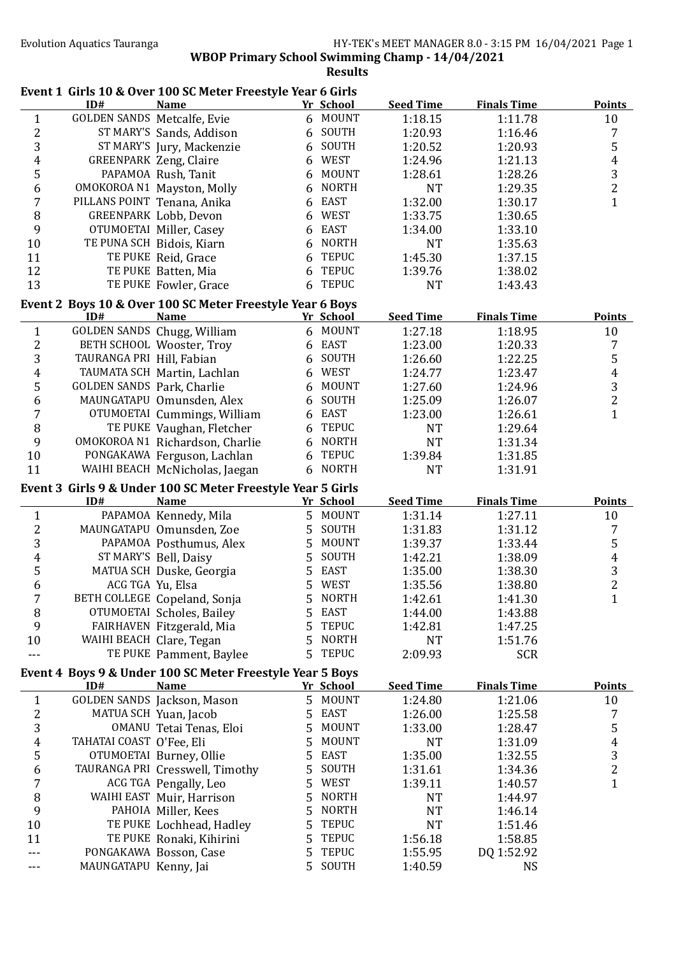|                  |                                    | Event 1 Girls 10 & Over 100 SC Meter Freestyle Year 6 Girls |    |              |                    |                       |                |
|------------------|------------------------------------|-------------------------------------------------------------|----|--------------|--------------------|-----------------------|----------------|
|                  | ID#                                | <b>Name</b>                                                 |    | Yr School    | <b>Seed Time</b>   | <b>Finals Time</b>    | <b>Points</b>  |
| $\mathbf{1}$     | <b>GOLDEN SANDS Metcalfe, Evie</b> |                                                             |    | 6 MOUNT      | 1:18.15            | 1:11.78               | 10             |
| $\overline{c}$   |                                    | ST MARY'S Sands, Addison                                    |    | 6 SOUTH      | 1:20.93            | 1:16.46               | 7              |
| $\mathbf{3}$     |                                    | ST MARY'S Jury, Mackenzie                                   |    | 6 SOUTH      | 1:20.52            | 1:20.93               | 5              |
| $\overline{4}$   |                                    | <b>GREENPARK Zeng, Claire</b>                               |    | 6 WEST       | 1:24.96            | 1:21.13               | $\overline{4}$ |
| $\mathsf S$      |                                    | PAPAMOA Rush, Tanit                                         | 6  | <b>MOUNT</b> | 1:28.61            | 1:28.26               | $\overline{3}$ |
| $\boldsymbol{6}$ |                                    | OMOKOROA N1 Mayston, Molly                                  | 6  | <b>NORTH</b> | <b>NT</b>          | 1:29.35               | $\overline{c}$ |
| $\overline{7}$   | PILLANS POINT Tenana, Anika        |                                                             | 6  | <b>EAST</b>  | 1:32.00            | 1:30.17               | $\mathbf{1}$   |
| 8                |                                    | GREENPARK Lobb, Devon                                       | 6  | <b>WEST</b>  | 1:33.75            | 1:30.65               |                |
| 9                |                                    | OTUMOETAI Miller, Casey                                     | 6  | <b>EAST</b>  | 1:34.00            | 1:33.10               |                |
| 10               |                                    | TE PUNA SCH Bidois, Kiarn                                   | 6  | <b>NORTH</b> | <b>NT</b>          | 1:35.63               |                |
| 11               |                                    | TE PUKE Reid, Grace                                         | 6  | <b>TEPUC</b> | 1:45.30            | 1:37.15               |                |
| 12               |                                    | TE PUKE Batten, Mia                                         | 6  | <b>TEPUC</b> | 1:39.76            | 1:38.02               |                |
| 13               |                                    | TE PUKE Fowler, Grace                                       |    | 6 TEPUC      | <b>NT</b>          | 1:43.43               |                |
|                  |                                    |                                                             |    |              |                    |                       |                |
|                  |                                    | Event 2 Boys 10 & Over 100 SC Meter Freestyle Year 6 Boys   |    |              |                    |                       |                |
|                  | ID#                                | <b>Name</b>                                                 |    | Yr School    | <b>Seed Time</b>   | <b>Finals Time</b>    | <b>Points</b>  |
| $\mathbf{1}$     |                                    | GOLDEN SANDS Chugg, William                                 |    | 6 MOUNT      | 1:27.18            | 1:18.95               | 10             |
| $\mathbf{2}$     |                                    | BETH SCHOOL Wooster, Troy                                   |    | 6 EAST       | 1:23.00            | 1:20.33               | 7              |
| 3                | TAURANGA PRI Hill, Fabian          |                                                             |    | 6 SOUTH      | 1:26.60            | 1:22.25               | 5              |
| $\boldsymbol{4}$ |                                    | TAUMATA SCH Martin, Lachlan                                 | 6  | <b>WEST</b>  | 1:24.77            | 1:23.47               | $\overline{4}$ |
| 5                | GOLDEN SANDS Park, Charlie         |                                                             | 6  | <b>MOUNT</b> | 1:27.60            | 1:24.96               | 3              |
| 6                |                                    | MAUNGATAPU Omunsden, Alex                                   | 6  | SOUTH        | 1:25.09            | 1:26.07               | $\overline{2}$ |
| $\overline{7}$   |                                    | OTUMOETAI Cummings, William                                 | 6  | <b>EAST</b>  | 1:23.00            | 1:26.61               | $\mathbf{1}$   |
| 8                |                                    | TE PUKE Vaughan, Fletcher                                   | 6  | <b>TEPUC</b> | <b>NT</b>          | 1:29.64               |                |
| 9                |                                    | OMOKOROA N1 Richardson, Charlie                             | 6  | <b>NORTH</b> | <b>NT</b>          | 1:31.34               |                |
| 10               |                                    | PONGAKAWA Ferguson, Lachlan                                 | 6  | <b>TEPUC</b> | 1:39.84            | 1:31.85               |                |
| 11               |                                    | WAIHI BEACH McNicholas, Jaegan                              | 6  | <b>NORTH</b> | <b>NT</b>          | 1:31.91               |                |
|                  |                                    |                                                             |    |              |                    |                       |                |
|                  |                                    |                                                             |    |              |                    |                       |                |
|                  |                                    | Event 3 Girls 9 & Under 100 SC Meter Freestyle Year 5 Girls |    |              |                    |                       |                |
|                  | ID#                                | <b>Name</b>                                                 |    | Yr School    | <b>Seed Time</b>   | <b>Finals Time</b>    | <b>Points</b>  |
| $\mathbf{1}$     |                                    | PAPAMOA Kennedy, Mila                                       |    | 5 MOUNT      | 1:31.14            | 1:27.11               | 10             |
| $\sqrt{2}$       |                                    | MAUNGATAPU Omunsden, Zoe                                    | 5  | SOUTH        | 1:31.83            | 1:31.12               | 7              |
| $\overline{3}$   |                                    | PAPAMOA Posthumus, Alex                                     | 5  | <b>MOUNT</b> | 1:39.37            | 1:33.44               | 5              |
| $\overline{4}$   |                                    | ST MARY'S Bell, Daisy                                       | 5  | SOUTH        | 1:42.21            | 1:38.09               | $\overline{4}$ |
| 5                |                                    | MATUA SCH Duske, Georgia                                    | 5  | <b>EAST</b>  | 1:35.00            | 1:38.30               | 3              |
| 6                | ACG TGA Yu, Elsa                   |                                                             |    | 5 WEST       | 1:35.56            | 1:38.80               | $\overline{2}$ |
| 7                |                                    | BETH COLLEGE Copeland, Sonja                                |    | 5 NORTH      | 1:42.61            | 1:41.30               | 1              |
| 8                |                                    | OTUMOETAI Scholes, Bailey                                   | 5  | <b>EAST</b>  | 1:44.00            | 1:43.88               |                |
| 9                |                                    | FAIRHAVEN Fitzgerald, Mia                                   | 5  | <b>TEPUC</b> | 1:42.81            | 1:47.25               |                |
| 10               | WAIHI BEACH Clare, Tegan           |                                                             | 5  | <b>NORTH</b> | <b>NT</b>          | 1:51.76               |                |
| ---              |                                    | TE PUKE Pamment, Baylee                                     | 5  | <b>TEPUC</b> | 2:09.93            | <b>SCR</b>            |                |
|                  |                                    | Event 4 Boys 9 & Under 100 SC Meter Freestyle Year 5 Boys   |    |              |                    |                       |                |
|                  | ID#                                | <b>Name</b>                                                 |    | Yr School    | <b>Seed Time</b>   | <b>Finals Time</b>    | <b>Points</b>  |
| $\mathbf{1}$     |                                    | GOLDEN SANDS Jackson, Mason                                 |    | 5 MOUNT      | 1:24.80            | 1:21.06               | 10             |
| $\mathbf{2}$     |                                    | MATUA SCH Yuan, Jacob                                       | 5  | <b>EAST</b>  | 1:26.00            | 1:25.58               | 7              |
| 3                |                                    | OMANU Tetai Tenas, Eloi                                     | 5. | <b>MOUNT</b> | 1:33.00            | 1:28.47               | 5              |
| $\overline{4}$   | TAHATAI COAST O'Fee, Eli           |                                                             | 5  | <b>MOUNT</b> | <b>NT</b>          | 1:31.09               | $\overline{4}$ |
| 5                |                                    | OTUMOETAI Burney, Ollie                                     | 5  | <b>EAST</b>  | 1:35.00            | 1:32.55               | 3              |
| 6                |                                    | TAURANGA PRI Cresswell, Timothy                             | 5  | SOUTH        | 1:31.61            | 1:34.36               | $\overline{c}$ |
| 7                |                                    | ACG TGA Pengally, Leo                                       | 5  | <b>WEST</b>  | 1:39.11            | 1:40.57               | $\mathbf{1}$   |
| 8                |                                    | WAIHI EAST Muir, Harrison                                   | 5  | <b>NORTH</b> | <b>NT</b>          | 1:44.97               |                |
| 9                |                                    | PAHOIA Miller, Kees                                         | 5  | <b>NORTH</b> | <b>NT</b>          | 1:46.14               |                |
| 10               |                                    |                                                             | 5  | <b>TEPUC</b> | <b>NT</b>          | 1:51.46               |                |
| 11               |                                    | TE PUKE Lochhead, Hadley                                    | 5  | <b>TEPUC</b> |                    |                       |                |
|                  |                                    | TE PUKE Ronaki, Kihirini<br>PONGAKAWA Bosson, Case          | 5  | <b>TEPUC</b> | 1:56.18<br>1:55.95 | 1:58.85<br>DQ 1:52.92 |                |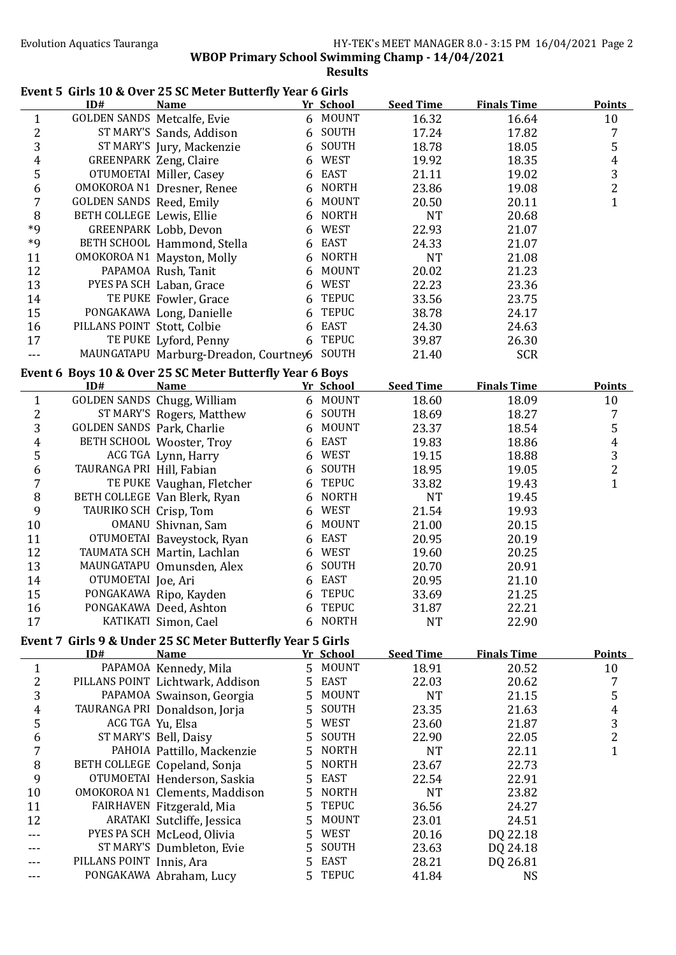## **WBOP Primary School Swimming Champ - 14/04/2021**

**Results**

## Event 5 Girls 10 & Over 25 SC Meter Butterfly Year 6 Girls

|                         | ID#                             | <b>Name</b>                                                |        | <u>Yr School</u> | <b>Seed Time</b> | <b>Finals Time</b> | <b>Points</b>    |
|-------------------------|---------------------------------|------------------------------------------------------------|--------|------------------|------------------|--------------------|------------------|
| $\mathbf{1}$            | GOLDEN SANDS Metcalfe, Evie     |                                                            |        | 6 MOUNT          | 16.32            | 16.64              | 10               |
| $\overline{\mathbf{c}}$ |                                 | ST MARY'S Sands, Addison                                   |        | 6 SOUTH          | 17.24            | 17.82              | 7                |
| 3                       |                                 | ST MARY'S Jury, Mackenzie                                  |        | 6 SOUTH          | 18.78            | 18.05              | 5                |
| 4                       |                                 | <b>GREENPARK Zeng, Claire</b>                              | 6      | WEST             | 19.92            | 18.35              | $\pmb{4}$        |
| 5                       |                                 | OTUMOETAI Miller, Casey                                    |        | 6 EAST           | 21.11            | 19.02              | 3                |
| 6                       |                                 | OMOKOROA N1 Dresner, Renee                                 | 6      | <b>NORTH</b>     | 23.86            | 19.08              | $\overline{2}$   |
| 7                       | <b>GOLDEN SANDS Reed, Emily</b> |                                                            |        | 6 MOUNT          | 20.50            | 20.11              | $\mathbf{1}$     |
| 8                       | BETH COLLEGE Lewis, Ellie       |                                                            |        | 6 NORTH          | <b>NT</b>        | 20.68              |                  |
| $*9$                    |                                 | GREENPARK Lobb, Devon                                      | 6      | WEST             | 22.93            | 21.07              |                  |
| $*9$                    |                                 | BETH SCHOOL Hammond, Stella                                | 6      | EAST             | 24.33            | 21.07              |                  |
| 11                      |                                 | OMOKOROA N1 Mayston, Molly                                 | 6      | <b>NORTH</b>     | <b>NT</b>        | 21.08              |                  |
| 12                      |                                 | PAPAMOA Rush, Tanit                                        | 6      | <b>MOUNT</b>     | 20.02            | 21.23              |                  |
| 13                      |                                 | PYES PA SCH Laban, Grace                                   | 6      | <b>WEST</b>      | 22.23            | 23.36              |                  |
| 14                      |                                 | TE PUKE Fowler, Grace                                      | 6      | <b>TEPUC</b>     | 33.56            | 23.75              |                  |
| 15                      |                                 | PONGAKAWA Long, Danielle                                   |        | <b>TEPUC</b>     | 38.78            | 24.17              |                  |
|                         | PILLANS POINT Stott, Colbie     |                                                            | 6      | <b>EAST</b>      |                  |                    |                  |
| 16                      |                                 |                                                            | 6      |                  | 24.30            | 24.63              |                  |
| 17                      |                                 | TE PUKE Lyford, Penny                                      | 6      | <b>TEPUC</b>     | 39.87            | 26.30              |                  |
| $- - -$                 |                                 | MAUNGATAPU Marburg-Dreadon, Courtney6                      |        | SOUTH            | 21.40            | <b>SCR</b>         |                  |
|                         |                                 | Event 6 Boys 10 & Over 25 SC Meter Butterfly Year 6 Boys   |        |                  |                  |                    |                  |
|                         | ID#                             | <b>Name</b>                                                |        | Yr School        | <b>Seed Time</b> | <b>Finals Time</b> | <b>Points</b>    |
| $\mathbf{1}$            |                                 | GOLDEN SANDS Chugg, William                                |        | 6 MOUNT          | 18.60            | 18.09              | 10               |
| $\overline{\mathbf{c}}$ |                                 | ST MARY'S Rogers, Matthew                                  |        | 6 SOUTH          | 18.69            | 18.27              | 7                |
| 3                       | GOLDEN SANDS Park, Charlie      |                                                            | 6      | <b>MOUNT</b>     | 23.37            | 18.54              | 5                |
| 4                       |                                 | BETH SCHOOL Wooster, Troy                                  | 6      | EAST             | 19.83            | 18.86              | $\boldsymbol{4}$ |
| 5                       |                                 | ACG TGA Lynn, Harry                                        | 6      | WEST             | 19.15            | 18.88              | 3                |
| $\boldsymbol{6}$        | TAURANGA PRI Hill, Fabian       |                                                            | 6      | SOUTH            | 18.95            | 19.05              | $\overline{2}$   |
| 7                       |                                 | TE PUKE Vaughan, Fletcher                                  | 6      | <b>TEPUC</b>     | 33.82            | 19.43              | $\mathbf{1}$     |
| 8                       |                                 | BETH COLLEGE Van Blerk, Ryan                               | 6      | <b>NORTH</b>     | <b>NT</b>        | 19.45              |                  |
| 9                       | TAURIKO SCH Crisp, Tom          |                                                            | 6      | <b>WEST</b>      | 21.54            | 19.93              |                  |
| 10                      |                                 | OMANU Shivnan, Sam                                         | 6      | <b>MOUNT</b>     | 21.00            | 20.15              |                  |
| 11                      |                                 | OTUMOETAI Baveystock, Ryan                                 | 6      | EAST             | 20.95            | 20.19              |                  |
| 12                      |                                 | TAUMATA SCH Martin, Lachlan                                | 6      | WEST             | 19.60            | 20.25              |                  |
| 13                      |                                 | MAUNGATAPU Omunsden, Alex                                  | 6      | SOUTH            | 20.70            | 20.91              |                  |
| 14                      | OTUMOETAI Joe, Ari              |                                                            |        | 6 EAST           |                  |                    |                  |
|                         |                                 |                                                            |        | <b>TEPUC</b>     | 20.95            | 21.10              |                  |
| 15                      |                                 | PONGAKAWA Ripo, Kayden                                     | 6      | 6 TEPUC          | 33.69            | 21.25              |                  |
| 16                      |                                 | PONGAKAWA Deed, Ashton                                     |        |                  | 31.87            | 22.21              |                  |
| 17                      |                                 | KATIKATI Simon, Cael                                       |        | 6 NORTH          | <b>NT</b>        | 22.90              |                  |
|                         |                                 | Event 7 Girls 9 & Under 25 SC Meter Butterfly Year 5 Girls |        |                  |                  |                    |                  |
|                         | ID#                             | <b>Name</b>                                                |        | Yr School        | <b>Seed Time</b> | <b>Finals Time</b> | <b>Points</b>    |
| $\mathbf{1}$            |                                 | PAPAMOA Kennedy, Mila                                      |        | 5 MOUNT          | 18.91            | 20.52              | 10               |
| $\overline{\mathbf{c}}$ |                                 | PILLANS POINT Lichtwark, Addison                           | 5      | EAST             | 22.03            | 20.62              | 7                |
| 3                       |                                 | PAPAMOA Swainson, Georgia                                  | 5      | <b>MOUNT</b>     | <b>NT</b>        | 21.15              | 5                |
| 4                       |                                 | TAURANGA PRI Donaldson, Jorja                              | 5      | SOUTH            | 23.35            | 21.63              | 4                |
| 5                       | ACG TGA Yu, Elsa                |                                                            | 5      | WEST             | 23.60            | 21.87              | 3                |
| 6                       |                                 | ST MARY'S Bell, Daisy                                      | 5      | SOUTH            | 22.90            | 22.05              | $\overline{2}$   |
| 7                       |                                 | PAHOIA Pattillo, Mackenzie                                 | 5      | <b>NORTH</b>     | <b>NT</b>        | 22.11              | $\mathbf{1}$     |
| 8                       |                                 | BETH COLLEGE Copeland, Sonja                               | 5      | <b>NORTH</b>     | 23.67            | 22.73              |                  |
| 9                       |                                 | OTUMOETAI Henderson, Saskia                                | 5      | <b>EAST</b>      | 22.54            | 22.91              |                  |
| 10                      |                                 | OMOKOROA N1 Clements, Maddison                             | 5      | <b>NORTH</b>     | <b>NT</b>        | 23.82              |                  |
| 11                      |                                 | FAIRHAVEN Fitzgerald, Mia                                  | 5      | <b>TEPUC</b>     | 36.56            | 24.27              |                  |
| 12                      |                                 | ARATAKI Sutcliffe, Jessica                                 | 5      | <b>MOUNT</b>     | 23.01            | 24.51              |                  |
|                         |                                 | PYES PA SCH McLeod, Olivia                                 | 5      | WEST             | 20.16            | DQ 22.18           |                  |
|                         |                                 | ST MARY'S Dumbleton, Evie                                  |        | SOUTH            | 23.63            | DQ 24.18           |                  |
|                         | PILLANS POINT Innis, Ara        |                                                            | 5<br>5 | <b>EAST</b>      |                  |                    |                  |
|                         |                                 |                                                            | 5      | <b>TEPUC</b>     | 28.21            | DQ 26.81           |                  |
|                         |                                 | PONGAKAWA Abraham, Lucy                                    |        |                  | 41.84            | <b>NS</b>          |                  |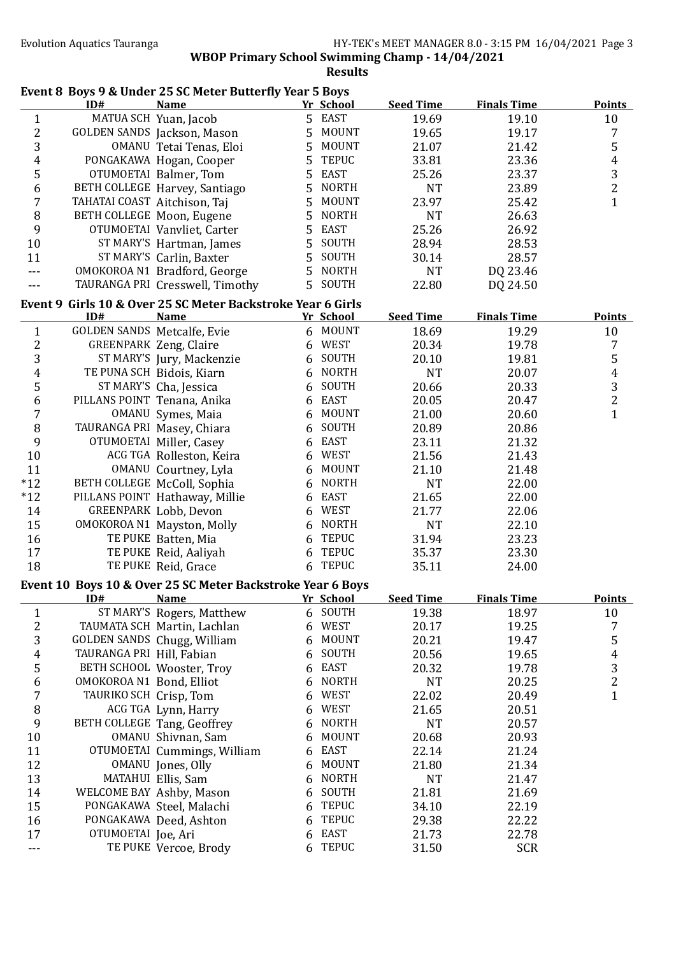|                         |                              | Event 8 Boys 9 & Under 25 SC Meter Butterfly Year 5 Boys                   |   |              |                  |                    |                         |
|-------------------------|------------------------------|----------------------------------------------------------------------------|---|--------------|------------------|--------------------|-------------------------|
|                         | ID#                          | <b>Name</b>                                                                |   | Yr School    | <b>Seed Time</b> | <b>Finals Time</b> | <b>Points</b>           |
| $\mathbf{1}$            |                              | MATUA SCH Yuan, Jacob                                                      |   | 5 EAST       | 19.69            | 19.10              | 10                      |
| $\overline{c}$          |                              | GOLDEN SANDS Jackson, Mason                                                | 5 | <b>MOUNT</b> | 19.65            | 19.17              | 7                       |
| 3                       |                              | OMANU Tetai Tenas, Eloi                                                    | 5 | <b>MOUNT</b> | 21.07            | 21.42              | 5                       |
| 4                       |                              | PONGAKAWA Hogan, Cooper                                                    | 5 | <b>TEPUC</b> | 33.81            | 23.36              | $\overline{\mathbf{r}}$ |
| 5                       |                              | OTUMOETAI Balmer, Tom                                                      | 5 | <b>EAST</b>  | 25.26            | 23.37              | $\frac{3}{2}$           |
| 6                       |                              | BETH COLLEGE Harvey, Santiago                                              | 5 | <b>NORTH</b> | <b>NT</b>        | 23.89              |                         |
| 7                       | TAHATAI COAST Aitchison, Taj |                                                                            | 5 | <b>MOUNT</b> | 23.97            | 25.42              | $\mathbf{1}$            |
| 8                       | BETH COLLEGE Moon, Eugene    |                                                                            | 5 | <b>NORTH</b> | <b>NT</b>        | 26.63              |                         |
| 9                       |                              | OTUMOETAI Vanvliet, Carter                                                 | 5 | <b>EAST</b>  | 25.26            | 26.92              |                         |
| 10                      |                              | ST MARY'S Hartman, James                                                   | 5 | SOUTH        | 28.94            | 28.53              |                         |
| 11                      |                              | ST MARY'S Carlin, Baxter                                                   | 5 | SOUTH        | 30.14            | 28.57              |                         |
| ---                     |                              | OMOKOROA N1 Bradford, George                                               | 5 | <b>NORTH</b> | <b>NT</b>        | DQ 23.46           |                         |
| ---                     |                              | TAURANGA PRI Cresswell, Timothy                                            | 5 | SOUTH        | 22.80            | DQ 24.50           |                         |
|                         | ID#                          | Event 9 Girls 10 & Over 25 SC Meter Backstroke Year 6 Girls<br><b>Name</b> |   | Yr School    | <b>Seed Time</b> | <b>Finals Time</b> | <b>Points</b>           |
| $\mathbf{1}$            | GOLDEN SANDS Metcalfe, Evie  |                                                                            |   | 6 MOUNT      | 18.69            | 19.29              | 10                      |
| $\overline{c}$          |                              | <b>GREENPARK Zeng, Claire</b>                                              | 6 | <b>WEST</b>  | 20.34            | 19.78              | 7                       |
| 3                       |                              | ST MARY'S Jury, Mackenzie                                                  | 6 | SOUTH        | 20.10            | 19.81              | 5                       |
| 4                       |                              | TE PUNA SCH Bidois, Kiarn                                                  | 6 | <b>NORTH</b> | <b>NT</b>        | 20.07              | $\pmb{4}$               |
| 5                       |                              | ST MARY'S Cha, Jessica                                                     | 6 | SOUTH        | 20.66            | 20.33              | 3                       |
| 6                       | PILLANS POINT Tenana, Anika  |                                                                            |   | 6 EAST       | 20.05            | 20.47              | $\overline{c}$          |
| 7                       |                              | OMANU Symes, Maia                                                          | 6 | <b>MOUNT</b> | 21.00            | 20.60              | $\mathbf{1}$            |
| 8                       |                              | TAURANGA PRI Masey, Chiara                                                 | 6 | SOUTH        | 20.89            | 20.86              |                         |
| 9                       |                              | OTUMOETAI Miller, Casey                                                    | 6 | <b>EAST</b>  | 23.11            | 21.32              |                         |
| 10                      |                              | ACG TGA Rolleston, Keira                                                   | 6 | <b>WEST</b>  | 21.56            | 21.43              |                         |
| 11                      |                              | OMANU Courtney, Lyla                                                       | 6 | <b>MOUNT</b> | 21.10            | 21.48              |                         |
| $*12$                   |                              | BETH COLLEGE McColl, Sophia                                                | 6 | <b>NORTH</b> | <b>NT</b>        | 22.00              |                         |
| $*12$                   |                              | PILLANS POINT Hathaway, Millie                                             | 6 | <b>EAST</b>  | 21.65            | 22.00              |                         |
| 14                      |                              | GREENPARK Lobb, Devon                                                      | 6 | <b>WEST</b>  | 21.77            | 22.06              |                         |
| 15                      |                              | OMOKOROA N1 Mayston, Molly                                                 | 6 | <b>NORTH</b> | <b>NT</b>        | 22.10              |                         |
| 16                      |                              | TE PUKE Batten, Mia                                                        | 6 | <b>TEPUC</b> | 31.94            | 23.23              |                         |
| 17                      |                              | TE PUKE Reid, Aaliyah                                                      | 6 | <b>TEPUC</b> | 35.37            | 23.30              |                         |
| 18                      |                              | TE PUKE Reid, Grace                                                        |   | 6 TEPUC      | 35.11            | 24.00              |                         |
|                         |                              | Event 10 Boys 10 & Over 25 SC Meter Backstroke Year 6 Boys                 |   |              |                  |                    |                         |
|                         | ID#                          | <b>Name</b>                                                                |   | Yr School    | <b>Seed Time</b> | <b>Finals Time</b> | <b>Points</b>           |
| $\mathbf{1}$            |                              | ST MARY'S Rogers, Matthew                                                  |   | 6 SOUTH      | 19.38            | 18.97              | 10                      |
| $\overline{\mathbf{c}}$ |                              | TAUMATA SCH Martin, Lachlan                                                | 6 | WEST         | 20.17            | 19.25              | 7                       |
| 3                       |                              | GOLDEN SANDS Chugg, William                                                | 6 | <b>MOUNT</b> | 20.21            | 19.47              | 5                       |
| $\overline{4}$          | TAURANGA PRI Hill, Fabian    |                                                                            | 6 | SOUTH        | 20.56            | 19.65              | $\overline{4}$          |
| 5                       |                              | BETH SCHOOL Wooster, Troy                                                  | 6 | <b>EAST</b>  | 20.32            | 19.78              | 3                       |
| 6                       | OMOKOROA N1 Bond, Elliot     |                                                                            | 6 | <b>NORTH</b> | <b>NT</b>        | 20.25              | $\overline{c}$          |
| $\overline{7}$          | TAURIKO SCH Crisp, Tom       |                                                                            | 6 | <b>WEST</b>  | 22.02            | 20.49              | $\mathbf{1}$            |
| $\, 8$                  |                              | ACG TGA Lynn, Harry                                                        | 6 | <b>WEST</b>  | 21.65            | 20.51              |                         |
| 9                       |                              | BETH COLLEGE Tang, Geoffrey                                                | 6 | <b>NORTH</b> | <b>NT</b>        | 20.57              |                         |
| 10                      |                              | OMANU Shivnan, Sam                                                         | 6 | <b>MOUNT</b> | 20.68            | 20.93              |                         |
| 11                      |                              | OTUMOETAI Cummings, William                                                | 6 | <b>EAST</b>  | 22.14            | 21.24              |                         |
| 12                      |                              | OMANU Jones, Olly                                                          | 6 | <b>MOUNT</b> | 21.80            | 21.34              |                         |
| 13                      |                              | MATAHUI Ellis, Sam                                                         | 6 | <b>NORTH</b> | <b>NT</b>        | 21.47              |                         |
| 14                      |                              | WELCOME BAY Ashby, Mason                                                   | 6 | SOUTH        | 21.81            | 21.69              |                         |
| 15                      |                              | PONGAKAWA Steel, Malachi                                                   | 6 | <b>TEPUC</b> | 34.10            | 22.19              |                         |
| 16                      |                              | PONGAKAWA Deed, Ashton                                                     | 6 | <b>TEPUC</b> | 29.38            | 22.22              |                         |
| 17                      | OTUMOETAI Joe, Ari           |                                                                            | 6 | <b>EAST</b>  | 21.73            | 22.78              |                         |
| ---                     |                              | TE PUKE Vercoe, Brody                                                      |   | 6 TEPUC      | 31.50            | <b>SCR</b>         |                         |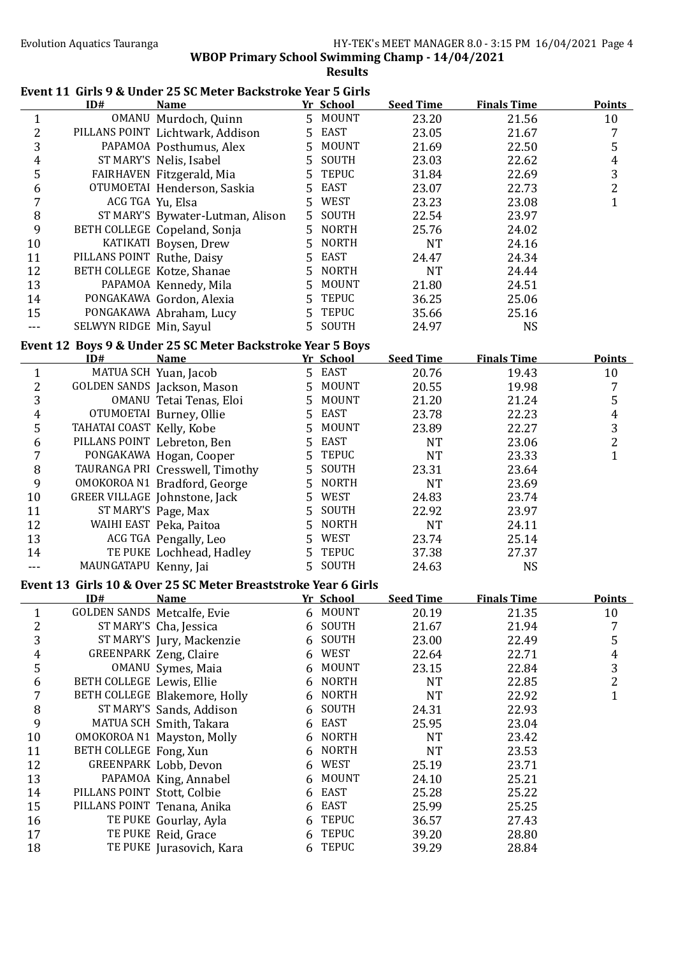### Evolution Aquatics Tauranga **HY-TEK's MEET MANAGER 8.0 - 3:15 PM 16/04/2021** Page 4

**WBOP Primary School Swimming Champ - 14/04/2021**

**Results**

# Event 11 Girls 9 & Under 25 SC Meter Backstroke Year 5 Girls

|                  | ID#                         | Name                                                           |   | Yr School    | <b>Seed Time</b> | <b>Finals Time</b> | <b>Points</b>    |
|------------------|-----------------------------|----------------------------------------------------------------|---|--------------|------------------|--------------------|------------------|
| $\mathbf{1}$     |                             | OMANU Murdoch, Quinn                                           |   | 5 MOUNT      | 23.20            | 21.56              | 10               |
| $\boldsymbol{2}$ |                             | PILLANS POINT Lichtwark, Addison                               | 5 | <b>EAST</b>  | 23.05            | 21.67              | 7                |
| 3                |                             | PAPAMOA Posthumus, Alex                                        | 5 | <b>MOUNT</b> | 21.69            | 22.50              | 5                |
| $\boldsymbol{4}$ |                             | ST MARY'S Nelis, Isabel                                        | 5 | SOUTH        | 23.03            | 22.62              | $\boldsymbol{4}$ |
| 5                |                             | FAIRHAVEN Fitzgerald, Mia                                      | 5 | <b>TEPUC</b> | 31.84            | 22.69              | $\mathbf{3}$     |
| 6                |                             | OTUMOETAI Henderson, Saskia                                    | 5 | <b>EAST</b>  | 23.07            | 22.73              | $\overline{2}$   |
| 7                |                             | ACG TGA Yu, Elsa                                               | 5 | <b>WEST</b>  | 23.23            | 23.08              | $\mathbf{1}$     |
| $\, 8$           |                             | ST MARY'S Bywater-Lutman, Alison                               | 5 | SOUTH        | 22.54            | 23.97              |                  |
| 9                |                             | BETH COLLEGE Copeland, Sonja                                   | 5 | <b>NORTH</b> | 25.76            | 24.02              |                  |
| 10               |                             | KATIKATI Boysen, Drew                                          | 5 | <b>NORTH</b> | <b>NT</b>        | 24.16              |                  |
| 11               | PILLANS POINT Ruthe, Daisy  |                                                                | 5 | <b>EAST</b>  | 24.47            | 24.34              |                  |
| 12               |                             | BETH COLLEGE Kotze, Shanae                                     | 5 | <b>NORTH</b> | <b>NT</b>        | 24.44              |                  |
| 13               |                             | PAPAMOA Kennedy, Mila                                          | 5 | <b>MOUNT</b> | 21.80            | 24.51              |                  |
| 14               |                             | PONGAKAWA Gordon, Alexia                                       | 5 | <b>TEPUC</b> | 36.25            | 25.06              |                  |
| 15               |                             | PONGAKAWA Abraham, Lucy                                        | 5 | <b>TEPUC</b> | 35.66            | 25.16              |                  |
| $- - -$          | SELWYN RIDGE Min, Sayul     |                                                                |   | 5 SOUTH      | 24.97            | <b>NS</b>          |                  |
|                  |                             | Event 12 Boys 9 & Under 25 SC Meter Backstroke Year 5 Boys     |   |              |                  |                    |                  |
|                  | ID#                         | <b>Name</b>                                                    |   | Yr School    | <b>Seed Time</b> | <b>Finals Time</b> | <b>Points</b>    |
| $\mathbf{1}$     |                             | MATUA SCH Yuan, Jacob                                          |   | 5 EAST       | 20.76            | 19.43              | 10               |
| $\boldsymbol{2}$ |                             | GOLDEN SANDS Jackson, Mason                                    | 5 | <b>MOUNT</b> | 20.55            | 19.98              | $\overline{7}$   |
| 3                |                             | OMANU Tetai Tenas, Eloi                                        | 5 | <b>MOUNT</b> | 21.20            | 21.24              | 5                |
| 4                |                             | OTUMOETAI Burney, Ollie                                        | 5 | <b>EAST</b>  | 23.78            | 22.23              | $\boldsymbol{4}$ |
| 5                | TAHATAI COAST Kelly, Kobe   |                                                                | 5 | <b>MOUNT</b> | 23.89            | 22.27              | 3                |
| 6                | PILLANS POINT Lebreton, Ben |                                                                | 5 | <b>EAST</b>  | <b>NT</b>        | 23.06              | $\overline{2}$   |
| 7                |                             | PONGAKAWA Hogan, Cooper                                        | 5 | <b>TEPUC</b> | <b>NT</b>        | 23.33              | $\mathbf{1}$     |
| 8                |                             | TAURANGA PRI Cresswell, Timothy                                | 5 | SOUTH        | 23.31            | 23.64              |                  |
| 9                |                             | OMOKOROA N1 Bradford, George                                   | 5 | <b>NORTH</b> | <b>NT</b>        | 23.69              |                  |
| 10               |                             | GREER VILLAGE Johnstone, Jack                                  | 5 | WEST         | 24.83            | 23.74              |                  |
| 11               |                             | ST MARY'S Page, Max                                            | 5 | SOUTH        | 22.92            | 23.97              |                  |
| 12               |                             | WAIHI EAST Peka, Paitoa                                        | 5 | <b>NORTH</b> | <b>NT</b>        | 24.11              |                  |
| 13               |                             | ACG TGA Pengally, Leo                                          | 5 | <b>WEST</b>  | 23.74            | 25.14              |                  |
| 14               |                             | TE PUKE Lochhead, Hadley                                       | 5 | <b>TEPUC</b> | 37.38            | 27.37              |                  |
| ---              | MAUNGATAPU Kenny, Jai       |                                                                |   | 5 SOUTH      | 24.63            | <b>NS</b>          |                  |
|                  |                             |                                                                |   |              |                  |                    |                  |
|                  |                             | Event 13 Girls 10 & Over 25 SC Meter Breaststroke Year 6 Girls |   |              |                  |                    |                  |
|                  | ID#                         | <b>Name</b>                                                    |   | Yr School    | <b>Seed Time</b> | <b>Finals Time</b> | <b>Points</b>    |
| $\mathbf{1}$     | GOLDEN SANDS Metcalfe, Evie |                                                                |   | 6 MOUNT      | 20.19            | 21.35              | 10               |
| $\sqrt{2}$       |                             | ST MARY'S Cha, Jessica                                         | 6 | SOUTH        | 21.67            | 21.94              | 7                |
| 3                |                             | ST MARY'S Jury, Mackenzie                                      | 6 | SOUTH        | 23.00            | 22.49              | 5                |
| $\overline{4}$   |                             | <b>GREENPARK Zeng, Claire</b>                                  | 6 | WEST         | 22.64            | 22.71              | $\boldsymbol{4}$ |
| 5                |                             | OMANU Symes, Maia                                              | 6 | <b>MOUNT</b> | 23.15            | 22.84              | 3                |
| $\boldsymbol{6}$ | BETH COLLEGE Lewis, Ellie   |                                                                | 6 | <b>NORTH</b> | <b>NT</b>        | 22.85              | $\overline{c}$   |
| $\sqrt{7}$       |                             | BETH COLLEGE Blakemore, Holly                                  | 6 | <b>NORTH</b> | <b>NT</b>        | 22.92              | $\mathbf{1}$     |
| $\, 8$           |                             | ST MARY'S Sands, Addison                                       | 6 | SOUTH        | 24.31            | 22.93              |                  |
| 9                |                             | MATUA SCH Smith, Takara                                        | 6 | <b>EAST</b>  | 25.95            | 23.04              |                  |
| 10               |                             | OMOKOROA N1 Mayston, Molly                                     | 6 | <b>NORTH</b> | <b>NT</b>        | 23.42              |                  |
| 11               | BETH COLLEGE Fong, Xun      |                                                                |   | <b>NORTH</b> | <b>NT</b>        | 23.53              |                  |
| 12               |                             | GREENPARK Lobb, Devon                                          | 6 | <b>WEST</b>  | 25.19            | 23.71              |                  |
| 13               |                             | PAPAMOA King, Annabel                                          |   | <b>MOUNT</b> | 24.10            | 25.21              |                  |
| 14               | PILLANS POINT Stott, Colbie |                                                                | 6 | <b>EAST</b>  | 25.28            | 25.22              |                  |
| 15               | PILLANS POINT Tenana, Anika |                                                                | 6 | <b>EAST</b>  | 25.99            | 25.25              |                  |
| 16               |                             | TE PUKE Gourlay, Ayla                                          | 6 | <b>TEPUC</b> | 36.57            | 27.43              |                  |
| 17               |                             | TE PUKE Reid, Grace                                            | 6 | <b>TEPUC</b> | 39.20            | 28.80              |                  |
| 18               |                             | TE PUKE Jurasovich, Kara                                       |   | 6 TEPUC      | 39.29            | 28.84              |                  |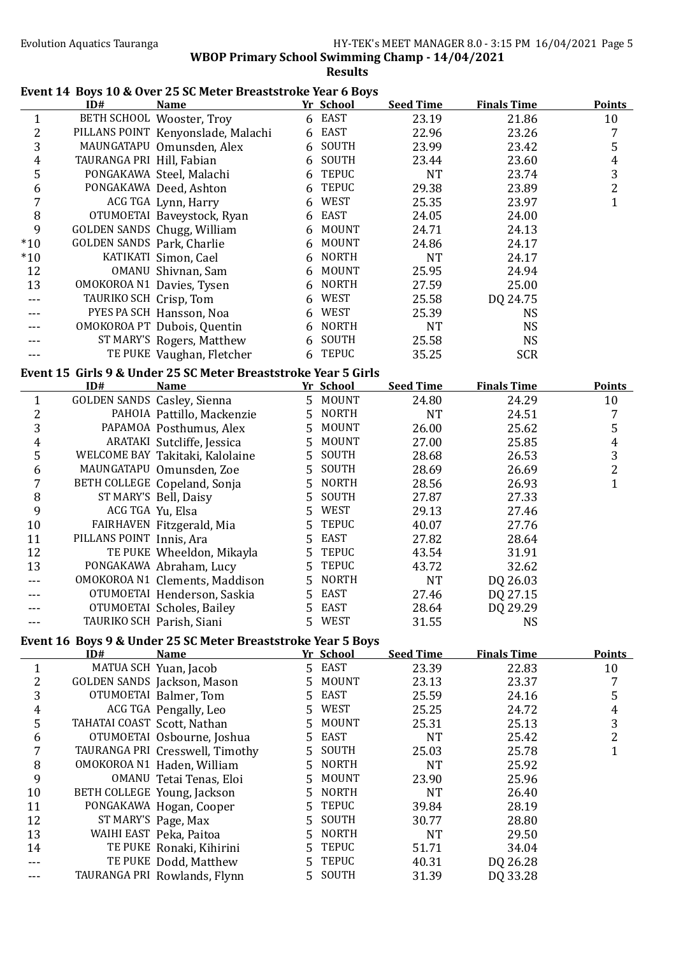### Evolution Aquatics Tauranga **HY-TEK's MEET MANAGER 8.0 - 3:15 PM 16/04/2021** Page 5

**WBOP Primary School Swimming Champ - 14/04/2021** 

**Results**

## Event 14 Boys 10 & Over 25 SC Meter Breaststroke Year 6 Boys

|                         | ID#                         | <b>Name</b>                                                    |   | <u>Yr School</u> | <b>Seed Time</b> | <b>Finals Time</b> | <b>Points</b>         |
|-------------------------|-----------------------------|----------------------------------------------------------------|---|------------------|------------------|--------------------|-----------------------|
| $\mathbf{1}$            |                             | BETH SCHOOL Wooster, Troy                                      |   | 6 EAST           | 23.19            | 21.86              | 10                    |
| $\overline{\mathbf{c}}$ |                             | PILLANS POINT Kenyonslade, Malachi                             | 6 | EAST             | 22.96            | 23.26              | 7                     |
| 3                       |                             | MAUNGATAPU Omunsden, Alex                                      | 6 | SOUTH            | 23.99            | 23.42              | 5                     |
| 4                       | TAURANGA PRI Hill, Fabian   |                                                                | 6 | SOUTH            | 23.44            | 23.60              | $\pmb{4}$             |
| 5                       |                             | PONGAKAWA Steel, Malachi                                       | 6 | <b>TEPUC</b>     | <b>NT</b>        | 23.74              | 3                     |
| 6                       |                             | PONGAKAWA Deed, Ashton                                         | 6 | <b>TEPUC</b>     | 29.38            | 23.89              | $\overline{2}$        |
| 7                       |                             | ACG TGA Lynn, Harry                                            | 6 | <b>WEST</b>      | 25.35            | 23.97              | $\mathbf{1}$          |
| 8                       |                             | OTUMOETAI Baveystock, Ryan                                     | 6 | <b>EAST</b>      | 24.05            | 24.00              |                       |
| 9                       |                             | GOLDEN SANDS Chugg, William                                    | 6 | <b>MOUNT</b>     | 24.71            | 24.13              |                       |
| $*10$                   | GOLDEN SANDS Park, Charlie  |                                                                | 6 | <b>MOUNT</b>     | 24.86            | 24.17              |                       |
| $*10$                   |                             | KATIKATI Simon, Cael                                           | 6 | <b>NORTH</b>     | <b>NT</b>        | 24.17              |                       |
|                         |                             |                                                                |   | <b>MOUNT</b>     |                  |                    |                       |
| 12                      |                             | OMANU Shivnan, Sam                                             | 6 |                  | 25.95            | 24.94              |                       |
| 13                      | OMOKOROA N1 Davies, Tysen   |                                                                | 6 | <b>NORTH</b>     | 27.59            | 25.00              |                       |
| ---                     | TAURIKO SCH Crisp, Tom      |                                                                | 6 | WEST             | 25.58            | DQ 24.75           |                       |
|                         |                             | PYES PA SCH Hansson, Noa                                       | 6 | WEST             | 25.39            | <b>NS</b>          |                       |
|                         |                             | OMOKOROA PT Dubois, Quentin                                    | 6 | <b>NORTH</b>     | <b>NT</b>        | <b>NS</b>          |                       |
|                         |                             | ST MARY'S Rogers, Matthew                                      | 6 | SOUTH            | 25.58            | <b>NS</b>          |                       |
|                         |                             | TE PUKE Vaughan, Fletcher                                      |   | 6 TEPUC          | 35.25            | <b>SCR</b>         |                       |
|                         |                             | Event 15 Girls 9 & Under 25 SC Meter Breaststroke Year 5 Girls |   |                  |                  |                    |                       |
|                         | ID#                         | <b>Name</b>                                                    |   | Yr School        | <b>Seed Time</b> | <b>Finals Time</b> | <b>Points</b>         |
| $\mathbf{1}$            | GOLDEN SANDS Casley, Sienna |                                                                |   | 5 MOUNT          | 24.80            | 24.29              | 10                    |
| $\overline{\mathbf{c}}$ |                             | PAHOIA Pattillo, Mackenzie                                     | 5 | <b>NORTH</b>     | <b>NT</b>        | 24.51              | 7                     |
| 3                       |                             | PAPAMOA Posthumus, Alex                                        | 5 | <b>MOUNT</b>     | 26.00            | 25.62              | 5                     |
|                         |                             |                                                                |   | <b>MOUNT</b>     |                  |                    |                       |
| $\boldsymbol{4}$        |                             | ARATAKI Sutcliffe, Jessica                                     | 5 | SOUTH            | 27.00            | 25.85              | $\boldsymbol{4}$<br>3 |
| 5                       |                             | WELCOME BAY Takitaki, Kalolaine                                | 5 |                  | 28.68            | 26.53              |                       |
| 6                       |                             | MAUNGATAPU Omunsden, Zoe                                       | 5 | SOUTH            | 28.69            | 26.69              | $\overline{c}$        |
| 7                       |                             | BETH COLLEGE Copeland, Sonja                                   | 5 | <b>NORTH</b>     | 28.56            | 26.93              | $\mathbf{1}$          |
| 8                       |                             | ST MARY'S Bell, Daisy                                          | 5 | SOUTH            | 27.87            | 27.33              |                       |
| 9                       | ACG TGA Yu, Elsa            |                                                                | 5 | <b>WEST</b>      | 29.13            | 27.46              |                       |
| 10                      |                             | FAIRHAVEN Fitzgerald, Mia                                      | 5 | <b>TEPUC</b>     | 40.07            | 27.76              |                       |
| 11                      | PILLANS POINT Innis, Ara    |                                                                | 5 | <b>EAST</b>      | 27.82            | 28.64              |                       |
| 12                      |                             | TE PUKE Wheeldon, Mikayla                                      | 5 | <b>TEPUC</b>     | 43.54            | 31.91              |                       |
| 13                      |                             | PONGAKAWA Abraham, Lucy                                        | 5 | <b>TEPUC</b>     | 43.72            | 32.62              |                       |
| ---                     |                             | OMOKOROA N1 Clements, Maddison                                 | 5 | <b>NORTH</b>     | <b>NT</b>        | DQ 26.03           |                       |
| $---$                   |                             | OTUMOETAI Henderson, Saskia                                    | 5 | <b>EAST</b>      | 27.46            | DQ 27.15           |                       |
|                         |                             | OTUMOETAI Scholes, Bailey                                      |   | 5 EAST           | 28.64            | DQ 29.29           |                       |
|                         |                             | TAURIKO SCH Parish, Siani                                      |   | 5 WEST           | 31.55            | <b>NS</b>          |                       |
|                         |                             | Event 16 Boys 9 & Under 25 SC Meter Breaststroke Year 5 Boys   |   |                  |                  |                    |                       |
|                         | ID#                         | <b>Name</b>                                                    |   | Yr School        | <b>Seed Time</b> | <b>Finals Time</b> | <b>Points</b>         |
|                         |                             | MATUA SCH Yuan, Jacob                                          |   | 5 EAST           |                  | 22.83              |                       |
| $\mathbf{1}$            |                             |                                                                |   | <b>MOUNT</b>     | 23.39            |                    | 10                    |
| 2                       |                             | GOLDEN SANDS Jackson, Mason                                    | 5 |                  | 23.13            | 23.37              | 7                     |
| 3                       |                             | OTUMOETAI Balmer, Tom                                          | 5 | <b>EAST</b>      | 25.59            | 24.16              | 5                     |
| 4                       |                             | ACG TGA Pengally, Leo                                          | 5 | WEST             | 25.25            | 24.72              | 4                     |
| 5                       | TAHATAI COAST Scott, Nathan |                                                                | 5 | <b>MOUNT</b>     | 25.31            | 25.13              | 3                     |
| 6                       |                             | OTUMOETAI Osbourne, Joshua                                     | 5 | <b>EAST</b>      | <b>NT</b>        | 25.42              | $\overline{c}$        |
| 7                       |                             | TAURANGA PRI Cresswell, Timothy                                | 5 | SOUTH            | 25.03            | 25.78              | $\mathbf{1}$          |
| 8                       |                             | OMOKOROA N1 Haden, William                                     | 5 | <b>NORTH</b>     | <b>NT</b>        | 25.92              |                       |
| 9                       |                             | OMANU Tetai Tenas, Eloi                                        | 5 | <b>MOUNT</b>     | 23.90            | 25.96              |                       |
| 10                      |                             | BETH COLLEGE Young, Jackson                                    | 5 | <b>NORTH</b>     | <b>NT</b>        | 26.40              |                       |
| 11                      |                             | PONGAKAWA Hogan, Cooper                                        | 5 | <b>TEPUC</b>     | 39.84            | 28.19              |                       |
| 12                      |                             | ST MARY'S Page, Max                                            | 5 | SOUTH            | 30.77            | 28.80              |                       |
| 13                      |                             | WAIHI EAST Peka, Paitoa                                        | 5 | <b>NORTH</b>     | <b>NT</b>        | 29.50              |                       |
| 14                      |                             | TE PUKE Ronaki, Kihirini                                       | 5 | <b>TEPUC</b>     | 51.71            | 34.04              |                       |
|                         |                             | TE PUKE Dodd, Matthew                                          | 5 | <b>TEPUC</b>     | 40.31            | DQ 26.28           |                       |
|                         |                             | TAURANGA PRI Rowlands, Flynn                                   | 5 | SOUTH            | 31.39            | DQ 33.28           |                       |
|                         |                             |                                                                |   |                  |                  |                    |                       |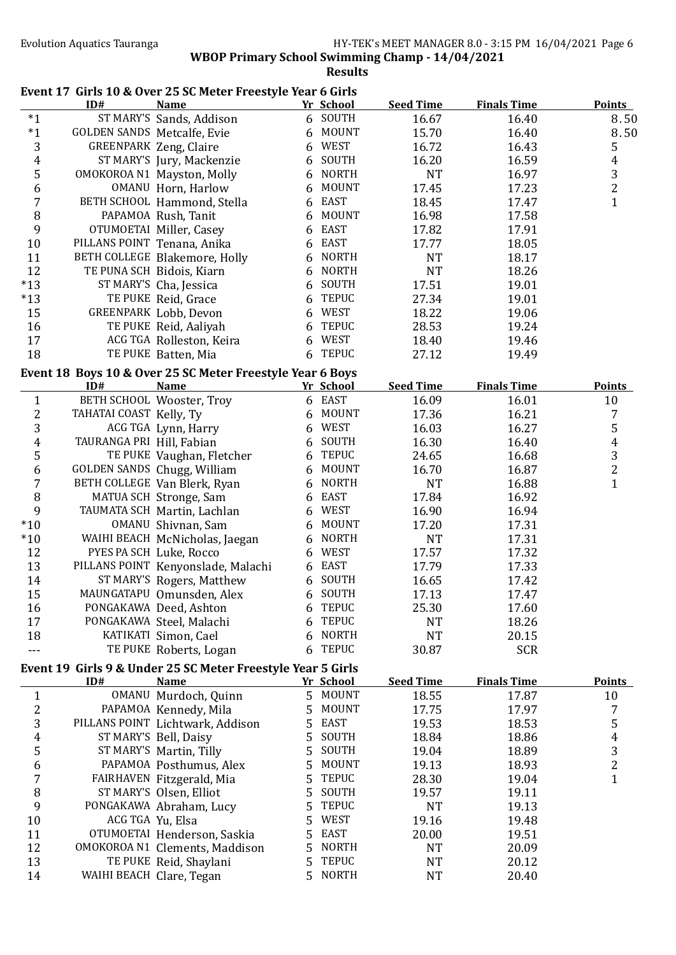**WBOP Primary School Swimming Champ - 14/04/2021** 

**Results**

# Event 17 Girls 10 & Over 25 SC Meter Freestyle Year 6 Girls

|                              | ID#                                | <b>Name</b>                                                 |    | <u>Yr School</u>    | <b>Seed Time</b>   | <b>Finals Time</b> | <b>Points</b>       |
|------------------------------|------------------------------------|-------------------------------------------------------------|----|---------------------|--------------------|--------------------|---------------------|
| $*1$                         |                                    | ST MARY'S Sands, Addison                                    |    | 6 SOUTH             | 16.67              | 16.40              | 8.50                |
| $*1$                         | <b>GOLDEN SANDS Metcalfe, Evie</b> |                                                             | 6  | <b>MOUNT</b>        | 15.70              | 16.40              | 8.50                |
| 3                            |                                    | <b>GREENPARK Zeng, Claire</b>                               |    | 6 WEST              | 16.72              | 16.43              | 5                   |
| $\overline{4}$               |                                    | ST MARY'S Jury, Mackenzie                                   | 6  | SOUTH               | 16.20              | 16.59              | $\boldsymbol{4}$    |
| 5                            |                                    | OMOKOROA N1 Mayston, Molly                                  |    | 6 NORTH             | <b>NT</b>          | 16.97              | 3                   |
| 6                            |                                    | OMANU Horn, Harlow                                          | 6  | <b>MOUNT</b>        | 17.45              | 17.23              | $\overline{c}$      |
| 7                            |                                    | BETH SCHOOL Hammond, Stella                                 | 6  | <b>EAST</b>         | 18.45              | 17.47              | $\mathbf{1}$        |
| $\, 8$                       |                                    | PAPAMOA Rush, Tanit                                         | 6  | <b>MOUNT</b>        | 16.98              | 17.58              |                     |
| 9                            |                                    | OTUMOETAI Miller, Casey                                     | 6  | <b>EAST</b>         | 17.82              | 17.91              |                     |
| $10\,$                       | PILLANS POINT Tenana, Anika        |                                                             | 6  | <b>EAST</b>         | 17.77              | 18.05              |                     |
| 11                           |                                    | BETH COLLEGE Blakemore, Holly                               | 6  | <b>NORTH</b>        | <b>NT</b>          | 18.17              |                     |
| 12                           |                                    | TE PUNA SCH Bidois, Kiarn                                   | 6  | <b>NORTH</b>        | <b>NT</b>          | 18.26              |                     |
| $*13$                        |                                    | ST MARY'S Cha, Jessica                                      | 6  | SOUTH               | 17.51              | 19.01              |                     |
| $*13$                        |                                    | TE PUKE Reid, Grace                                         | 6  | <b>TEPUC</b>        | 27.34              | 19.01              |                     |
| 15                           |                                    | GREENPARK Lobb, Devon                                       | 6  | <b>WEST</b>         | 18.22              | 19.06              |                     |
| 16                           |                                    | TE PUKE Reid, Aaliyah                                       | 6  | <b>TEPUC</b>        | 28.53              | 19.24              |                     |
| 17                           |                                    | ACG TGA Rolleston, Keira                                    | 6  | WEST                | 18.40              | 19.46              |                     |
| 18                           |                                    | TE PUKE Batten, Mia                                         |    | 6 TEPUC             | 27.12              | 19.49              |                     |
|                              |                                    |                                                             |    |                     |                    |                    |                     |
|                              | ID#                                | Event 18 Boys 10 & Over 25 SC Meter Freestyle Year 6 Boys   |    |                     | <b>Seed Time</b>   | <b>Finals Time</b> | <b>Points</b>       |
|                              |                                    | <b>Name</b><br>BETH SCHOOL Wooster, Troy                    |    | Yr School<br>6 EAST | 16.09              | 16.01              | 10                  |
| $\mathbf{1}$<br>$\mathbf{2}$ | TAHATAI COAST Kelly, Ty            |                                                             |    | MOUNT               | 17.36              | 16.21              | 7                   |
| 3                            |                                    |                                                             | 6  | <b>WEST</b>         |                    |                    |                     |
|                              |                                    | ACG TGA Lynn, Harry                                         | 6  | SOUTH               | 16.03              | 16.27              | 5<br>$\overline{4}$ |
| 4<br>5                       | TAURANGA PRI Hill, Fabian          |                                                             | 6  | <b>TEPUC</b>        | 16.30              | 16.40              | 3                   |
|                              |                                    | TE PUKE Vaughan, Fletcher                                   | 6  | <b>MOUNT</b>        | 24.65              | 16.68              |                     |
| 6<br>$\overline{7}$          |                                    | GOLDEN SANDS Chugg, William<br>BETH COLLEGE Van Blerk, Ryan | 6  | <b>NORTH</b>        | 16.70<br><b>NT</b> | 16.87              | $\frac{2}{1}$       |
|                              |                                    |                                                             | 6  | <b>EAST</b>         |                    | 16.88              |                     |
| $\, 8$<br>9                  |                                    | MATUA SCH Stronge, Sam                                      | 6  | <b>WEST</b>         | 17.84              | 16.92              |                     |
| $*10$                        |                                    | TAUMATA SCH Martin, Lachlan                                 | 6  | <b>MOUNT</b>        | 16.90              | 16.94              |                     |
|                              |                                    | OMANU Shivnan, Sam                                          | 6  | <b>NORTH</b>        | 17.20              | 17.31              |                     |
| $*10$                        |                                    | WAIHI BEACH McNicholas, Jaegan                              | 6  |                     | <b>NT</b>          | 17.31              |                     |
| 12                           |                                    | PYES PA SCH Luke, Rocco                                     | 6  | <b>WEST</b>         | 17.57              | 17.32              |                     |
| 13                           |                                    | PILLANS POINT Kenyonslade, Malachi                          |    | 6 EAST              | 17.79              | 17.33              |                     |
| 14                           |                                    | ST MARY'S Rogers, Matthew                                   | 6  | SOUTH               | 16.65              | 17.42              |                     |
| 15                           |                                    | MAUNGATAPU Omunsden, Alex                                   |    | 6 SOUTH             | 17.13              | 17.47              |                     |
| 16                           |                                    | PONGAKAWA Deed, Ashton                                      |    | 6 TEPUC             | 25.30              | 17.60              |                     |
| 17                           |                                    | PONGAKAWA Steel, Malachi                                    | 6  | TEPUC               | <b>NT</b>          | 18.26              |                     |
| 18                           |                                    | KATIKATI Simon, Cael                                        | 6  | <b>NORTH</b>        | <b>NT</b>          | 20.15              |                     |
| ---                          |                                    | TE PUKE Roberts, Logan                                      |    | 6 TEPUC             | 30.87              | <b>SCR</b>         |                     |
|                              |                                    | Event 19 Girls 9 & Under 25 SC Meter Freestyle Year 5 Girls |    |                     |                    |                    |                     |
|                              | ID#                                | <b>Name</b>                                                 |    | Yr School           | <b>Seed Time</b>   | <b>Finals Time</b> | <b>Points</b>       |
| $\mathbf{1}$                 |                                    | OMANU Murdoch, Quinn                                        |    | 5 MOUNT             | 18.55              | 17.87              | 10                  |
| 2                            |                                    | PAPAMOA Kennedy, Mila                                       | 5. | MOUNT               | 17.75              | 17.97              | 7                   |
| 3                            |                                    | PILLANS POINT Lichtwark, Addison                            | 5. | <b>EAST</b>         | 19.53              | 18.53              | 5                   |
| 4                            |                                    | ST MARY'S Bell, Daisy                                       | 5  | SOUTH               | 18.84              | 18.86              | $\boldsymbol{4}$    |
| 5                            |                                    | ST MARY'S Martin, Tilly                                     | 5  | SOUTH               | 19.04              | 18.89              | 3                   |
| 6                            |                                    | PAPAMOA Posthumus, Alex                                     | 5  | <b>MOUNT</b>        | 19.13              | 18.93              | $\overline{c}$      |
| 7                            |                                    | FAIRHAVEN Fitzgerald, Mia                                   | 5  | <b>TEPUC</b>        | 28.30              | 19.04              | $\mathbf{1}$        |
| 8                            |                                    | ST MARY'S Olsen, Elliot                                     | 5  | SOUTH               | 19.57              | 19.11              |                     |
| 9                            |                                    | PONGAKAWA Abraham, Lucy                                     | 5  | <b>TEPUC</b>        | <b>NT</b>          | 19.13              |                     |
| 10                           | ACG TGA Yu, Elsa                   |                                                             | 5  | WEST                | 19.16              | 19.48              |                     |
| 11                           |                                    | OTUMOETAI Henderson, Saskia                                 | 5  | <b>EAST</b>         | 20.00              | 19.51              |                     |
| 12                           |                                    | OMOKOROA N1 Clements, Maddison                              | 5  | <b>NORTH</b>        | <b>NT</b>          | 20.09              |                     |
| 13                           |                                    | TE PUKE Reid, Shaylani                                      | 5  | <b>TEPUC</b>        | <b>NT</b>          | 20.12              |                     |
| 14                           | WAIHI BEACH Clare, Tegan           |                                                             |    | 5 NORTH             | <b>NT</b>          | 20.40              |                     |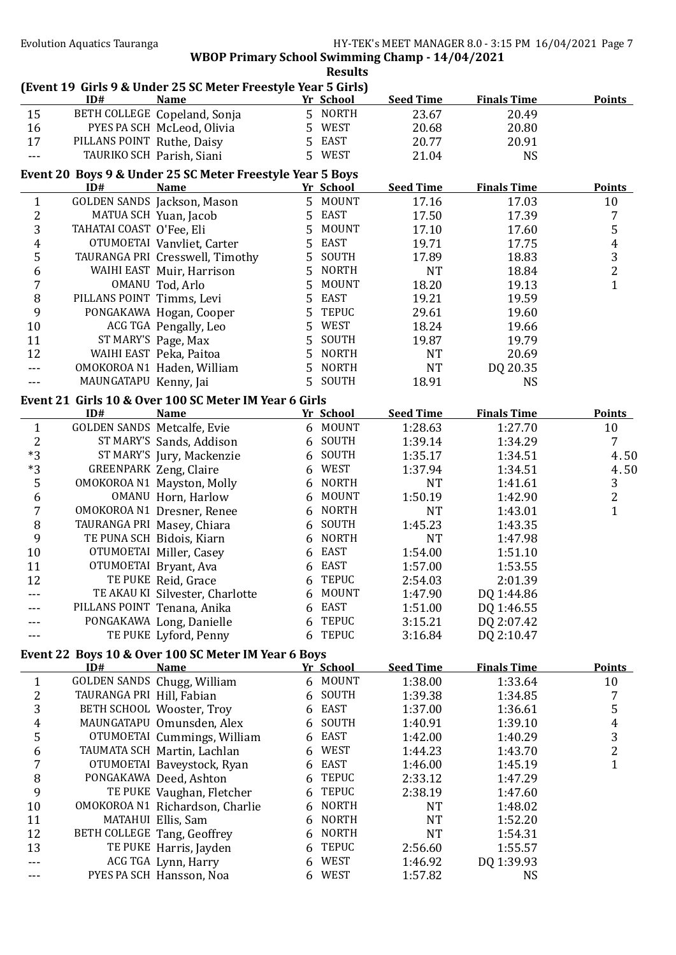|                         |                            | (Event 19 Girls 9 & Under 25 SC Meter Freestyle Year 5 Girls)            |   |                      |                  |                             |                  |
|-------------------------|----------------------------|--------------------------------------------------------------------------|---|----------------------|------------------|-----------------------------|------------------|
| 15                      | ID#                        | <b>Name</b><br>BETH COLLEGE Copeland, Sonja                              |   | Yr School<br>5 NORTH | <b>Seed Time</b> | <b>Finals Time</b><br>20.49 | <b>Points</b>    |
|                         |                            |                                                                          |   | 5 WEST               | 23.67            |                             |                  |
| 16                      |                            | PYES PA SCH McLeod, Olivia                                               |   | 5 EAST               | 20.68            | 20.80                       |                  |
| 17                      | PILLANS POINT Ruthe, Daisy |                                                                          |   |                      | 20.77            | 20.91                       |                  |
| $-$ --                  |                            | TAURIKO SCH Parish, Siani                                                |   | 5 WEST               | 21.04            | <b>NS</b>                   |                  |
|                         | ID#                        | Event 20 Boys 9 & Under 25 SC Meter Freestyle Year 5 Boys<br><b>Name</b> |   | Yr School            | <b>Seed Time</b> | <b>Finals Time</b>          | <b>Points</b>    |
| $\mathbf{1}$            |                            | GOLDEN SANDS Jackson, Mason                                              |   | 5 MOUNT              | 17.16            | 17.03                       | 10               |
| $\overline{\mathbf{c}}$ |                            | MATUA SCH Yuan, Jacob                                                    | 5 | <b>EAST</b>          | 17.50            | 17.39                       | 7                |
| 3                       | TAHATAI COAST O'Fee, Eli   |                                                                          | 5 | <b>MOUNT</b>         | 17.10            | 17.60                       | 5                |
| 4                       |                            | OTUMOETAI Vanvliet, Carter                                               | 5 | <b>EAST</b>          | 19.71            | 17.75                       | $\overline{4}$   |
| 5                       |                            | TAURANGA PRI Cresswell, Timothy                                          | 5 | SOUTH                | 17.89            | 18.83                       | 3                |
|                         |                            |                                                                          | 5 | <b>NORTH</b>         | <b>NT</b>        |                             | $\overline{2}$   |
| 6                       |                            | WAIHI EAST Muir, Harrison                                                | 5 | <b>MOUNT</b>         |                  | 18.84                       |                  |
| 7                       |                            | OMANU Tod, Arlo                                                          |   | <b>EAST</b>          | 18.20            | 19.13                       | $\mathbf{1}$     |
| $\, 8$                  | PILLANS POINT Timms, Levi  |                                                                          | 5 |                      | 19.21            | 19.59                       |                  |
| 9                       |                            | PONGAKAWA Hogan, Cooper                                                  | 5 | <b>TEPUC</b>         | 29.61            | 19.60                       |                  |
| $10\,$                  |                            | ACG TGA Pengally, Leo                                                    | 5 | WEST                 | 18.24            | 19.66                       |                  |
| 11                      |                            | ST MARY'S Page, Max                                                      | 5 | SOUTH                | 19.87            | 19.79                       |                  |
| 12                      |                            | WAIHI EAST Peka, Paitoa                                                  | 5 | <b>NORTH</b>         | <b>NT</b>        | 20.69                       |                  |
| ---                     |                            | OMOKOROA N1 Haden, William                                               | 5 | <b>NORTH</b>         | <b>NT</b>        | DQ 20.35                    |                  |
| $---$                   | MAUNGATAPU Kenny, Jai      |                                                                          | 5 | SOUTH                | 18.91            | <b>NS</b>                   |                  |
|                         |                            | Event 21 Girls 10 & Over 100 SC Meter IM Year 6 Girls                    |   |                      |                  |                             |                  |
|                         | ID#                        | <b>Name</b>                                                              |   | Yr School            | <b>Seed Time</b> | <b>Finals Time</b>          | <b>Points</b>    |
| $\mathbf{1}$            |                            | GOLDEN SANDS Metcalfe, Evie                                              |   | 6 MOUNT              | 1:28.63          | 1:27.70                     | 10               |
| $\overline{2}$          |                            | ST MARY'S Sands, Addison                                                 |   | 6 SOUTH              | 1:39.14          | 1:34.29                     | 7                |
| $*3$                    |                            | ST MARY'S Jury, Mackenzie                                                |   | 6 SOUTH              | 1:35.17          | 1:34.51                     | 4.50             |
| $*3$                    |                            | <b>GREENPARK Zeng, Claire</b>                                            | 6 | <b>WEST</b>          | 1:37.94          | 1:34.51                     | 4.50             |
| 5                       |                            | OMOKOROA N1 Mayston, Molly                                               | 6 | <b>NORTH</b>         | <b>NT</b>        | 1:41.61                     | $\sqrt{3}$       |
| 6                       |                            | OMANU Horn, Harlow                                                       | 6 | <b>MOUNT</b>         | 1:50.19          | 1:42.90                     | $\overline{c}$   |
| $\overline{7}$          |                            | OMOKOROA N1 Dresner, Renee                                               | 6 | <b>NORTH</b>         | <b>NT</b>        | 1:43.01                     | $\mathbf{1}$     |
| 8                       |                            | TAURANGA PRI Masey, Chiara                                               | 6 | SOUTH                | 1:45.23          | 1:43.35                     |                  |
| 9                       |                            | TE PUNA SCH Bidois, Kiarn                                                | 6 | <b>NORTH</b>         | <b>NT</b>        | 1:47.98                     |                  |
| $10\,$                  |                            | OTUMOETAI Miller, Casey                                                  | 6 | EAST                 | 1:54.00          | 1:51.10                     |                  |
| 11                      |                            | OTUMOETAI Bryant, Ava                                                    | 6 | <b>EAST</b>          | 1:57.00          | 1:53.55                     |                  |
| 12                      |                            | TE PUKE Reid, Grace                                                      | 6 | <b>TEPUC</b>         | 2:54.03          | 2:01.39                     |                  |
| ---                     |                            | TE AKAU KI Silvester, Charlotte                                          | 6 | MOUNT                | 1:47.90          | DQ 1:44.86                  |                  |
|                         |                            | PILLANS POINT Tenana, Anika                                              | 6 | <b>EAST</b>          | 1:51.00          | DQ 1:46.55                  |                  |
|                         |                            | PONGAKAWA Long, Danielle                                                 | 6 | <b>TEPUC</b>         | 3:15.21          | DQ 2:07.42                  |                  |
|                         |                            | TE PUKE Lyford, Penny                                                    | 6 | <b>TEPUC</b>         | 3:16.84          | DQ 2:10.47                  |                  |
|                         |                            | Event 22 Boys 10 & Over 100 SC Meter IM Year 6 Boys                      |   |                      |                  |                             |                  |
|                         | ID#                        | <b>Name</b>                                                              |   | Yr School            | <b>Seed Time</b> | <b>Finals Time</b>          | <b>Points</b>    |
| $\mathbf{1}$            |                            | GOLDEN SANDS Chugg, William                                              |   | 6 MOUNT              | 1:38.00          | 1:33.64                     | 10               |
| $\overline{\mathbf{c}}$ | TAURANGA PRI Hill, Fabian  |                                                                          | 6 | SOUTH                | 1:39.38          | 1:34.85                     | 7                |
| 3                       |                            | BETH SCHOOL Wooster, Troy                                                | 6 | <b>EAST</b>          | 1:37.00          | 1:36.61                     | 5                |
| 4                       |                            | MAUNGATAPU Omunsden, Alex                                                | 6 | SOUTH                | 1:40.91          | 1:39.10                     | $\boldsymbol{4}$ |
| 5                       |                            | OTUMOETAI Cummings, William                                              | 6 | <b>EAST</b>          | 1:42.00          | 1:40.29                     | $\frac{3}{2}$    |
| 6                       |                            | TAUMATA SCH Martin, Lachlan                                              | 6 | WEST                 | 1:44.23          | 1:43.70                     |                  |
| 7                       |                            | OTUMOETAI Baveystock, Ryan                                               | 6 | EAST                 | 1:46.00          | 1:45.19                     | $\mathbf{1}$     |
| 8                       |                            | PONGAKAWA Deed, Ashton                                                   | 6 | <b>TEPUC</b>         | 2:33.12          | 1:47.29                     |                  |
| 9                       |                            | TE PUKE Vaughan, Fletcher                                                | 6 | <b>TEPUC</b>         | 2:38.19          | 1:47.60                     |                  |
| 10                      |                            | OMOKOROA N1 Richardson, Charlie                                          | 6 | <b>NORTH</b>         | NT               | 1:48.02                     |                  |
| 11                      |                            | MATAHUI Ellis, Sam                                                       | 6 | <b>NORTH</b>         | <b>NT</b>        | 1:52.20                     |                  |
| 12                      |                            | BETH COLLEGE Tang, Geoffrey                                              | 6 | <b>NORTH</b>         | NT               | 1:54.31                     |                  |
| 13                      |                            | TE PUKE Harris, Jayden                                                   | 6 | <b>TEPUC</b>         | 2:56.60          | 1:55.57                     |                  |
| ---                     |                            | ACG TGA Lynn, Harry                                                      | 6 | <b>WEST</b>          | 1:46.92          | DQ 1:39.93                  |                  |
| ---                     |                            | PYES PA SCH Hansson, Noa                                                 | 6 | WEST                 | 1:57.82          | <b>NS</b>                   |                  |
|                         |                            |                                                                          |   |                      |                  |                             |                  |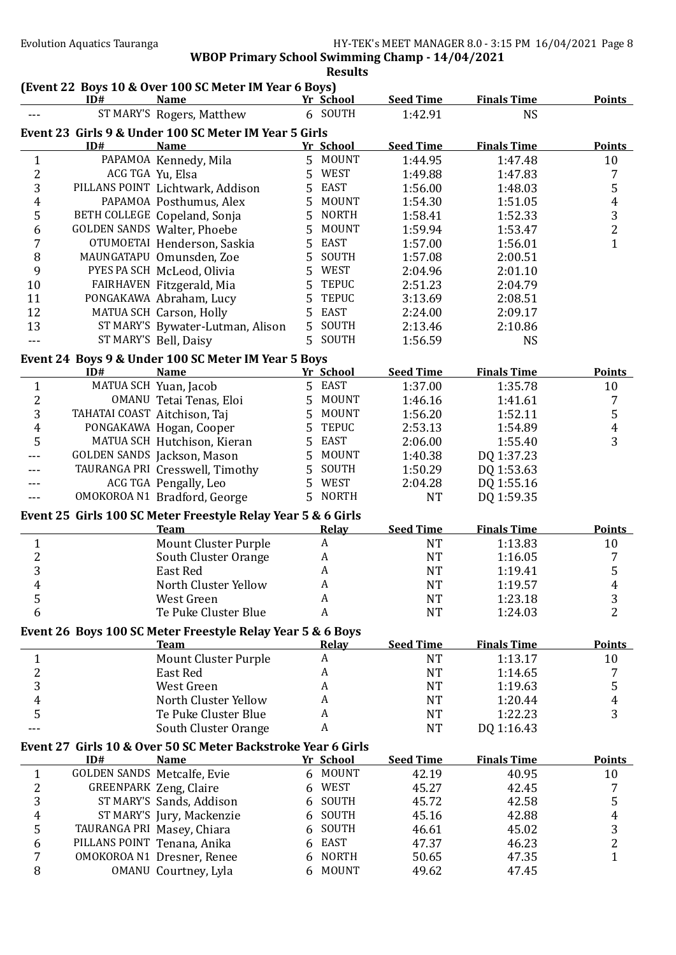|                         |                               |                                                                      | <b>Results</b>              |                  |                    |                  |
|-------------------------|-------------------------------|----------------------------------------------------------------------|-----------------------------|------------------|--------------------|------------------|
|                         | ID#                           | (Event 22 Boys 10 & Over 100 SC Meter IM Year 6 Boys)<br><b>Name</b> | Yr School                   | <b>Seed Time</b> | <b>Finals Time</b> | <b>Points</b>    |
|                         |                               | ST MARY'S Rogers, Matthew                                            | 6 SOUTH                     | 1:42.91          | <b>NS</b>          |                  |
|                         |                               | Event 23 Girls 9 & Under 100 SC Meter IM Year 5 Girls                |                             |                  |                    |                  |
|                         | ID#                           | <b>Name</b>                                                          | Yr School                   | <b>Seed Time</b> | <b>Finals Time</b> | <b>Points</b>    |
| $\mathbf{1}$            |                               | PAPAMOA Kennedy, Mila                                                | 5 MOUNT                     | 1:44.95          | 1:47.48            | 10               |
| $\overline{c}$          | ACG TGA Yu, Elsa              |                                                                      | 5<br>WEST                   | 1:49.88          | 1:47.83            | 7                |
| 3                       |                               | PILLANS POINT Lichtwark, Addison                                     | 5<br><b>EAST</b>            | 1:56.00          | 1:48.03            | 5                |
| 4                       |                               | PAPAMOA Posthumus, Alex                                              | 5<br><b>MOUNT</b>           | 1:54.30          | 1:51.05            | $\overline{4}$   |
| 5                       |                               | BETH COLLEGE Copeland, Sonja                                         | 5<br><b>NORTH</b>           | 1:58.41          | 1:52.33            | 3                |
| 6                       |                               | GOLDEN SANDS Walter, Phoebe                                          | 5<br><b>MOUNT</b>           | 1:59.94          | 1:53.47            | $\overline{c}$   |
| 7                       |                               | OTUMOETAI Henderson, Saskia                                          | <b>EAST</b><br>5            | 1:57.00          | 1:56.01            | $\mathbf{1}$     |
| 8                       |                               | MAUNGATAPU Omunsden, Zoe                                             | 5<br>SOUTH                  | 1:57.08          | 2:00.51            |                  |
| 9                       |                               | PYES PA SCH McLeod, Olivia                                           | 5<br>WEST                   | 2:04.96          | 2:01.10            |                  |
| 10                      |                               | FAIRHAVEN Fitzgerald, Mia                                            | 5<br><b>TEPUC</b>           | 2:51.23          | 2:04.79            |                  |
| 11                      |                               | PONGAKAWA Abraham, Lucy                                              | 5<br><b>TEPUC</b>           | 3:13.69          | 2:08.51            |                  |
| 12                      |                               | MATUA SCH Carson, Holly                                              | 5<br><b>EAST</b>            | 2:24.00          | 2:09.17            |                  |
| 13                      |                               | ST MARY'S Bywater-Lutman, Alison                                     | 5<br>SOUTH                  | 2:13.46          | 2:10.86            |                  |
|                         |                               | ST MARY'S Bell, Daisy                                                | 5<br>SOUTH                  | 1:56.59          | <b>NS</b>          |                  |
|                         |                               | Event 24 Boys 9 & Under 100 SC Meter IM Year 5 Boys                  |                             |                  |                    |                  |
|                         | ID#                           | <b>Name</b>                                                          | Yr School                   | <b>Seed Time</b> | <b>Finals Time</b> | <b>Points</b>    |
| $\mathbf{1}$            |                               | MATUA SCH Yuan, Jacob                                                | 5 EAST                      | 1:37.00          | 1:35.78            | 10               |
| $\overline{\mathbf{c}}$ |                               | OMANU Tetai Tenas, Eloi                                              | 5<br>MOUNT                  | 1:46.16          | 1:41.61            | 7                |
| 3                       | TAHATAI COAST Aitchison, Taj  |                                                                      | 5<br><b>MOUNT</b>           | 1:56.20          | 1:52.11            | 5                |
| 4                       |                               | PONGAKAWA Hogan, Cooper                                              | 5<br><b>TEPUC</b>           | 2:53.13          | 1:54.89            | $\boldsymbol{4}$ |
| 5                       |                               | MATUA SCH Hutchison, Kieran                                          | 5<br><b>EAST</b>            | 2:06.00          | 1:55.40            | 3                |
|                         |                               | GOLDEN SANDS Jackson, Mason                                          | 5<br><b>MOUNT</b>           | 1:40.38          | DQ 1:37.23         |                  |
|                         |                               | TAURANGA PRI Cresswell, Timothy                                      | 5<br>SOUTH                  | 1:50.29          | DQ 1:53.63         |                  |
|                         |                               | ACG TGA Pengally, Leo                                                | <b>WEST</b><br>5            | 2:04.28          | DQ 1:55.16         |                  |
|                         |                               | OMOKOROA N1 Bradford, George                                         | <b>NORTH</b><br>$5^{\circ}$ | <b>NT</b>        | DQ 1:59.35         |                  |
|                         |                               | Event 25 Girls 100 SC Meter Freestyle Relay Year 5 & 6 Girls         |                             |                  |                    |                  |
|                         |                               | <b>Team</b>                                                          | Relay                       | <b>Seed Time</b> | <b>Finals Time</b> | <b>Points</b>    |
| $\mathbf{1}$            |                               | <b>Mount Cluster Purple</b>                                          | $\boldsymbol{A}$            | <b>NT</b>        | 1:13.83            | 10               |
| $\overline{\mathbf{c}}$ |                               | South Cluster Orange                                                 | A                           | <b>NT</b>        | 1:16.05            | 7                |
| $\overline{3}$          |                               | East Red                                                             | A                           | <b>NT</b>        | 1:19.41            | 5                |
| 4                       |                               | North Cluster Yellow                                                 | A                           | <b>NT</b>        | 1:19.57            | 4                |
| 5                       |                               | West Green                                                           | A                           | <b>NT</b>        | 1:23.18            | 3                |
| 6                       |                               | Te Puke Cluster Blue                                                 | A                           | <b>NT</b>        | 1:24.03            | $\overline{2}$   |
|                         |                               | Event 26 Boys 100 SC Meter Freestyle Relay Year 5 & 6 Boys           |                             |                  |                    |                  |
|                         |                               | <b>Team</b>                                                          | <b>Relay</b>                | <b>Seed Time</b> | <b>Finals Time</b> | Points           |
| $\mathbf{1}$            |                               | <b>Mount Cluster Purple</b>                                          | A                           | <b>NT</b>        | 1:13.17            | 10               |
| $\overline{c}$          |                               | <b>East Red</b>                                                      | A                           | <b>NT</b>        | 1:14.65            | 7                |
| 3                       |                               | West Green                                                           | A                           | <b>NT</b>        | 1:19.63            | 5                |
| $\boldsymbol{4}$        |                               | North Cluster Yellow                                                 | A                           | <b>NT</b>        | 1:20.44            | 4                |
| 5                       |                               | Te Puke Cluster Blue                                                 | A                           | <b>NT</b>        | 1:22.23            | 3                |
|                         |                               | South Cluster Orange                                                 | A                           | <b>NT</b>        | DQ 1:16.43         |                  |
|                         |                               | Event 27 Girls 10 & Over 50 SC Meter Backstroke Year 6 Girls         |                             |                  |                    |                  |
|                         | ID#                           | <b>Name</b>                                                          | Yr School                   | <b>Seed Time</b> | <b>Finals Time</b> | <b>Points</b>    |
| $\mathbf{1}$            | GOLDEN SANDS Metcalfe, Evie   |                                                                      | 6 MOUNT                     | 42.19            | 40.95              | 10               |
| 2                       | <b>GREENPARK Zeng, Claire</b> |                                                                      | <b>WEST</b><br>6            | 45.27            | 42.45              | 7                |
| 3                       |                               | ST MARY'S Sands, Addison                                             | SOUTH<br>6                  | 45.72            | 42.58              | 5                |
| 4                       |                               | ST MARY'S Jury, Mackenzie                                            | SOUTH<br>6                  | 45.16            | 42.88              | $\boldsymbol{4}$ |
| 5                       | TAURANGA PRI Masey, Chiara    |                                                                      | SOUTH<br>6                  | 46.61            | 45.02              | 3                |
| 6                       | PILLANS POINT Tenana, Anika   |                                                                      | <b>EAST</b><br>6            | 47.37            | 46.23              | $\overline{c}$   |
| 7                       |                               | OMOKOROA N1 Dresner, Renee                                           | <b>NORTH</b><br>6           | 50.65            | 47.35              | $\mathbf{1}$     |
| 8                       |                               | OMANU Courtney, Lyla                                                 | <b>MOUNT</b><br>6           | 49.62            | 47.45              |                  |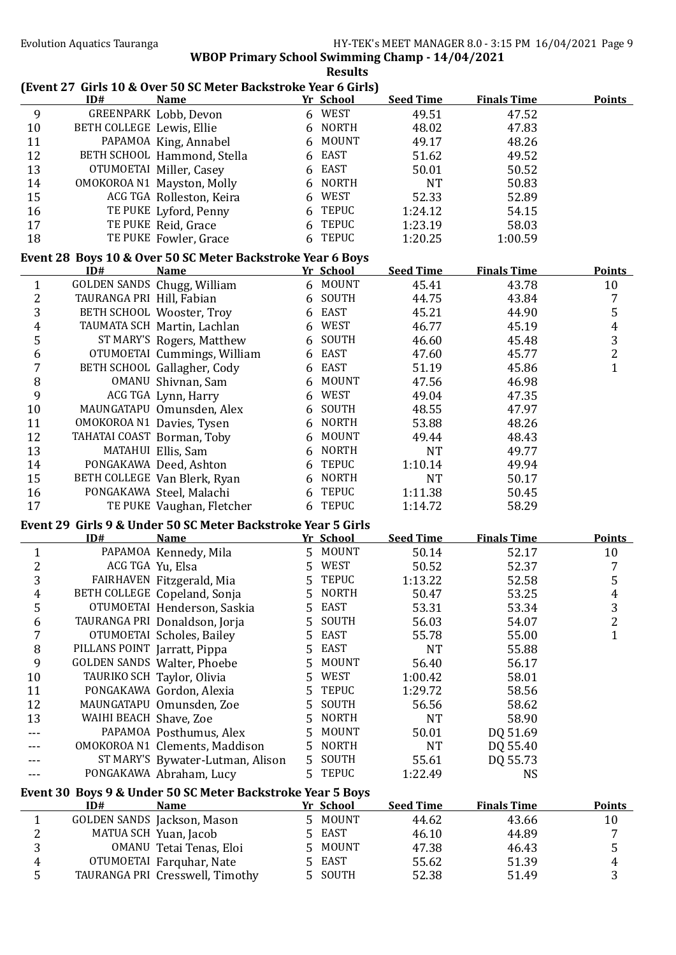|                |                              | (Event 27 Girls 10 & Over 50 SC Meter Backstroke Year 6 Girls) |   | nesults                |                  |                    |                |
|----------------|------------------------------|----------------------------------------------------------------|---|------------------------|------------------|--------------------|----------------|
|                | ID#                          | <b>Name</b>                                                    |   | Yr School              | <b>Seed Time</b> | <b>Finals Time</b> | <b>Points</b>  |
| 9              |                              | GREENPARK Lobb, Devon                                          |   | 6 WEST                 | 49.51            | 47.52              |                |
| $10\,$         | BETH COLLEGE Lewis, Ellie    |                                                                |   | 6 NORTH                | 48.02            | 47.83              |                |
| 11             |                              | PAPAMOA King, Annabel                                          |   | 6 MOUNT                | 49.17            | 48.26              |                |
| 12             |                              | BETH SCHOOL Hammond, Stella                                    | 6 | EAST                   | 51.62            | 49.52              |                |
| 13             |                              | OTUMOETAI Miller, Casey                                        | 6 | <b>EAST</b>            | 50.01            | 50.52              |                |
| 14             |                              | OMOKOROA N1 Mayston, Molly                                     | 6 | <b>NORTH</b>           | <b>NT</b>        | 50.83              |                |
| 15             |                              | ACG TGA Rolleston, Keira                                       | 6 | <b>WEST</b>            | 52.33            | 52.89              |                |
| 16             |                              | TE PUKE Lyford, Penny                                          | 6 | <b>TEPUC</b>           | 1:24.12          | 54.15              |                |
| 17             |                              | TE PUKE Reid, Grace                                            | 6 | <b>TEPUC</b>           | 1:23.19          | 58.03              |                |
| 18             |                              | TE PUKE Fowler, Grace                                          |   | 6 TEPUC                | 1:20.25          | 1:00.59            |                |
|                |                              | Event 28 Boys 10 & Over 50 SC Meter Backstroke Year 6 Boys     |   |                        |                  |                    |                |
|                | ID#                          | <b>Name</b>                                                    |   | Yr School              | <b>Seed Time</b> | <b>Finals Time</b> | <b>Points</b>  |
| $\mathbf{1}$   |                              | GOLDEN SANDS Chugg, William                                    |   | 6 MOUNT                | 45.41            | 43.78              | 10             |
| $\overline{c}$ | TAURANGA PRI Hill, Fabian    |                                                                | 6 | SOUTH                  | 44.75            | 43.84              | 7              |
| 3              |                              | BETH SCHOOL Wooster, Troy                                      | 6 | EAST                   | 45.21            | 44.90              | 5              |
| 4              |                              | TAUMATA SCH Martin, Lachlan                                    | 6 | WEST                   | 46.77            | 45.19              | $\overline{4}$ |
| 5              |                              | ST MARY'S Rogers, Matthew                                      | 6 | SOUTH                  | 46.60            | 45.48              | $\frac{3}{2}$  |
| 6              |                              | OTUMOETAI Cummings, William                                    | 6 | <b>EAST</b>            | 47.60            | 45.77              |                |
| 7              |                              | BETH SCHOOL Gallagher, Cody                                    | 6 | <b>EAST</b>            | 51.19            | 45.86              | $\mathbf{1}$   |
| 8              |                              | OMANU Shivnan, Sam                                             | 6 | <b>MOUNT</b>           | 47.56            | 46.98              |                |
| 9              |                              | ACG TGA Lynn, Harry                                            | 6 | WEST                   | 49.04            | 47.35              |                |
| 10             |                              | MAUNGATAPU Omunsden, Alex                                      | 6 | SOUTH                  | 48.55            | 47.97              |                |
| 11             |                              | OMOKOROA N1 Davies, Tysen                                      | 6 | <b>NORTH</b>           | 53.88            | 48.26              |                |
| 12             | TAHATAI COAST Borman, Toby   |                                                                | 6 | <b>MOUNT</b>           | 49.44            | 48.43              |                |
| 13             |                              | MATAHUI Ellis, Sam                                             |   | 6 NORTH                | <b>NT</b>        | 49.77              |                |
| 14             |                              | PONGAKAWA Deed, Ashton                                         | 6 | <b>TEPUC</b>           | 1:10.14          | 49.94              |                |
| 15             |                              | BETH COLLEGE Van Blerk, Ryan                                   |   | 6 NORTH                | <b>NT</b>        | 50.17              |                |
| 16             |                              | PONGAKAWA Steel, Malachi                                       | 6 | <b>TEPUC</b>           | 1:11.38          | 50.45              |                |
| 17             |                              | TE PUKE Vaughan, Fletcher                                      |   | 6 TEPUC                | 1:14.72          | 58.29              |                |
|                |                              | Event 29 Girls 9 & Under 50 SC Meter Backstroke Year 5 Girls   |   |                        |                  |                    |                |
|                | ID#                          | <b>Name</b>                                                    |   | Yr School              | <b>Seed Time</b> | <b>Finals Time</b> | Points         |
| $\mathbf{1}$   |                              | PAPAMOA Kennedy, Mila                                          |   | 5 MOUNT                | 50.14            | 52.17              | 10             |
| $\overline{c}$ | ACG TGA Yu, Elsa             |                                                                |   | 5 WEST                 | 50.52            | 52.37              | 7              |
| 3              |                              | FAIRHAVEN Fitzgerald, Mia                                      |   | 5 TEPUC                | 1:13.22          | 52.58              | 5              |
| 4              |                              | BETH COLLEGE Copeland, Sonja                                   |   | 5 NORTH                | 50.47            | 53.25              | $\overline{4}$ |
| 5              |                              | OTUMOETAI Henderson, Saskia                                    | 5 | EAST                   | 53.31            | 53.34              | $\frac{3}{2}$  |
| 6              |                              | TAURANGA PRI Donaldson, Jorja                                  | 5 | SOUTH                  | 56.03            | 54.07              |                |
| 7              |                              | OTUMOETAI Scholes, Bailey                                      | 5 | <b>EAST</b>            | 55.78            | 55.00              | $\mathbf{1}$   |
| 8              | PILLANS POINT Jarratt, Pippa |                                                                | 5 | <b>EAST</b>            | <b>NT</b>        | 55.88              |                |
| 9              |                              | <b>GOLDEN SANDS Walter, Phoebe</b>                             | 5 | <b>MOUNT</b>           | 56.40            | 56.17              |                |
| 10             |                              | TAURIKO SCH Taylor, Olivia                                     | 5 | WEST                   | 1:00.42          | 58.01              |                |
| 11             |                              | PONGAKAWA Gordon, Alexia                                       | 5 | <b>TEPUC</b>           | 1:29.72          | 58.56              |                |
| 12             |                              | MAUNGATAPU Omunsden, Zoe                                       | 5 | SOUTH                  | 56.56            | 58.62              |                |
| 13             | WAIHI BEACH Shave, Zoe       |                                                                | 5 | <b>NORTH</b>           | <b>NT</b>        | 58.90              |                |
|                |                              | PAPAMOA Posthumus, Alex                                        | 5 | MOUNT                  | 50.01            | DQ 51.69           |                |
|                |                              | OMOKOROA N1 Clements, Maddison                                 | 5 | <b>NORTH</b>           | NT               | DQ 55.40           |                |
|                |                              | ST MARY'S Bywater-Lutman, Alison                               | 5 | SOUTH                  | 55.61            | DQ 55.73           |                |
|                |                              | PONGAKAWA Abraham, Lucy                                        | 5 | <b>TEPUC</b>           | 1:22.49          | <b>NS</b>          |                |
|                |                              | Event 30 Boys 9 & Under 50 SC Meter Backstroke Year 5 Boys     |   |                        |                  |                    |                |
|                | ID#                          | <b>Name</b>                                                    |   | Yr School              | <b>Seed Time</b> | <b>Finals Time</b> | <b>Points</b>  |
| $\mathbf{1}$   |                              | GOLDEN SANDS Jackson, Mason                                    |   | 5 MOUNT                | 44.62            | 43.66              | 10             |
| 2              |                              | MATUA SCH Yuan, Jacob                                          | 5 | EAST                   | 46.10            | 44.89              | 7              |
| 3              |                              | OMANU Tetai Tenas, Eloi                                        | 5 | <b>MOUNT</b>           | 47.38            | 46.43              | 5              |
| $\overline{4}$ |                              | OTUMOETAI Farquhar, Nate                                       | 5 | <b>EAST</b><br>5 SOUTH | 55.62            | 51.39              | 4              |
| 5              |                              | TAURANGA PRI Cresswell, Timothy                                |   |                        | 52.38            | 51.49              | 3              |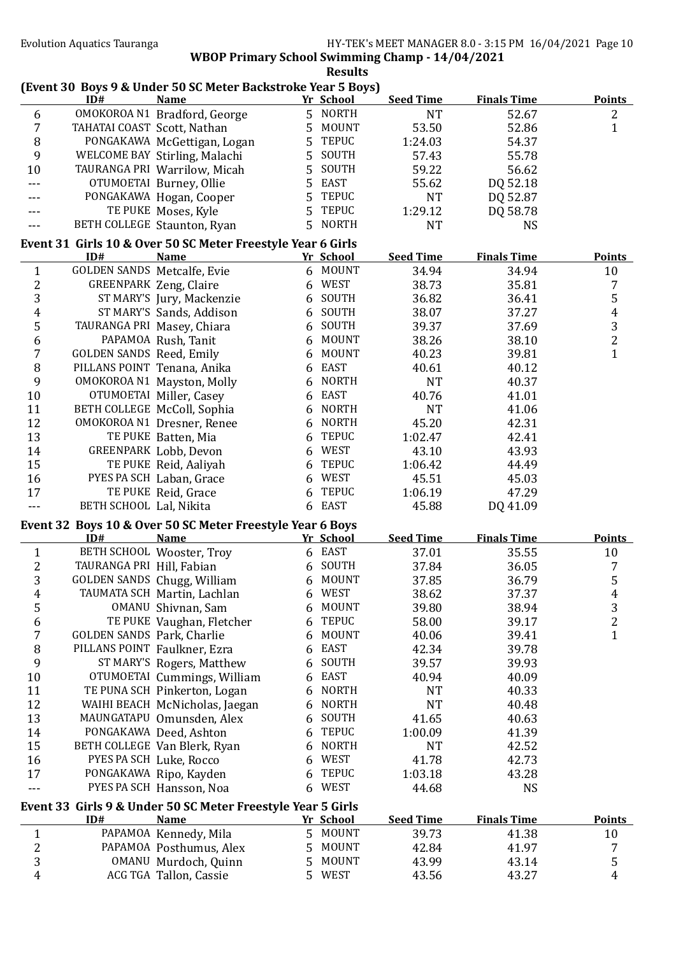|                         |                                 | (Event 30 Boys 9 & Under 50 SC Meter Backstroke Year 5 Boys)               |    |              |                  |                    |                  |
|-------------------------|---------------------------------|----------------------------------------------------------------------------|----|--------------|------------------|--------------------|------------------|
|                         | ID#                             | <b>Name</b>                                                                |    | Yr School    | <b>Seed Time</b> | <b>Finals Time</b> | <b>Points</b>    |
| 6                       |                                 | OMOKOROA N1 Bradford, George                                               |    | 5 NORTH      | <b>NT</b>        | 52.67              | $\boldsymbol{2}$ |
| 7                       | TAHATAI COAST Scott, Nathan     |                                                                            | 5  | <b>MOUNT</b> | 53.50            | 52.86              | $\mathbf{1}$     |
| $\, 8$                  |                                 | PONGAKAWA McGettigan, Logan                                                | 5  | <b>TEPUC</b> | 1:24.03          | 54.37              |                  |
| 9                       |                                 | WELCOME BAY Stirling, Malachi                                              | 5  | SOUTH        | 57.43            | 55.78              |                  |
| 10                      |                                 | TAURANGA PRI Warrilow, Micah                                               | 5  | SOUTH        | 59.22            | 56.62              |                  |
| ---                     |                                 | OTUMOETAI Burney, Ollie                                                    | 5  | <b>EAST</b>  | 55.62            | DQ 52.18           |                  |
|                         |                                 | PONGAKAWA Hogan, Cooper                                                    | 5  | <b>TEPUC</b> | <b>NT</b>        | DQ 52.87           |                  |
|                         |                                 | TE PUKE Moses, Kyle                                                        | 5  | <b>TEPUC</b> | 1:29.12          | DQ 58.78           |                  |
|                         |                                 | BETH COLLEGE Staunton, Ryan                                                | 5  | <b>NORTH</b> | <b>NT</b>        | <b>NS</b>          |                  |
|                         | ID#                             | Event 31 Girls 10 & Over 50 SC Meter Freestyle Year 6 Girls<br><b>Name</b> |    | Yr School    | <b>Seed Time</b> | <b>Finals Time</b> | <b>Points</b>    |
| $\mathbf{1}$            | GOLDEN SANDS Metcalfe, Evie     |                                                                            |    | 6 MOUNT      | 34.94            | 34.94              | 10               |
| 2                       |                                 | <b>GREENPARK Zeng, Claire</b>                                              |    | 6 WEST       | 38.73            | 35.81              | 7                |
| 3                       |                                 | ST MARY'S Jury, Mackenzie                                                  |    | 6 SOUTH      | 36.82            | 36.41              | $\mathsf S$      |
| $\overline{4}$          |                                 | ST MARY'S Sands, Addison                                                   |    | 6 SOUTH      | 38.07            | 37.27              | $\pmb{4}$        |
| 5                       |                                 | TAURANGA PRI Masey, Chiara                                                 |    | 6 SOUTH      | 39.37            | 37.69              | 3                |
| 6                       |                                 | PAPAMOA Rush, Tanit                                                        | 6  | <b>MOUNT</b> | 38.26            | 38.10              | $\overline{c}$   |
| $\overline{7}$          | <b>GOLDEN SANDS Reed, Emily</b> |                                                                            | 6  | <b>MOUNT</b> | 40.23            | 39.81              | $\mathbf{1}$     |
| $\, 8$                  |                                 | PILLANS POINT Tenana, Anika                                                |    | EAST         |                  |                    |                  |
| 9                       |                                 |                                                                            | 6  | <b>NORTH</b> | 40.61            | 40.12              |                  |
|                         |                                 | OMOKOROA N1 Mayston, Molly                                                 | 6  | <b>EAST</b>  | <b>NT</b>        | 40.37              |                  |
| $10\,$                  |                                 | OTUMOETAI Miller, Casey                                                    | 6  |              | 40.76            | 41.01              |                  |
| 11                      |                                 | BETH COLLEGE McColl, Sophia                                                | 6  | <b>NORTH</b> | <b>NT</b>        | 41.06              |                  |
| 12                      |                                 | OMOKOROA N1 Dresner, Renee                                                 | 6  | <b>NORTH</b> | 45.20            | 42.31              |                  |
| 13                      |                                 | TE PUKE Batten, Mia                                                        | 6  | <b>TEPUC</b> | 1:02.47          | 42.41              |                  |
| 14                      |                                 | GREENPARK Lobb, Devon                                                      | 6  | WEST         | 43.10            | 43.93              |                  |
| 15                      |                                 | TE PUKE Reid, Aaliyah                                                      | 6  | <b>TEPUC</b> | 1:06.42          | 44.49              |                  |
| 16                      |                                 | PYES PA SCH Laban, Grace                                                   | 6  | <b>WEST</b>  | 45.51            | 45.03              |                  |
| 17                      |                                 | TE PUKE Reid, Grace                                                        | 6  | <b>TEPUC</b> | 1:06.19          | 47.29              |                  |
| $- - -$                 | BETH SCHOOL Lal, Nikita         |                                                                            |    | 6 EAST       | 45.88            | DQ 41.09           |                  |
|                         |                                 | Event 32 Boys 10 & Over 50 SC Meter Freestyle Year 6 Boys                  |    |              |                  |                    |                  |
|                         | ID#                             | <b>Name</b>                                                                |    | Yr School    | <b>Seed Time</b> | <b>Finals Time</b> | <b>Points</b>    |
| $\mathbf{1}$            |                                 | BETH SCHOOL Wooster, Troy                                                  |    | 6 EAST       | 37.01            | 35.55              | 10               |
| $\overline{\mathbf{c}}$ | TAURANGA PRI Hill, Fabian       |                                                                            |    | 6 SOUTH      | 37.84            | 36.05              | 7                |
| 3                       |                                 | GOLDEN SANDS Chugg, William                                                |    | 6 MOUNT      | 37.85            | 36.79              | 5                |
| 4                       |                                 | TAUMATA SCH Martin, Lachlan                                                |    | 6 WEST       | 38.62            | 37.37              | 4                |
| 5                       |                                 | OMANU Shivnan, Sam                                                         | 6  | <b>MOUNT</b> | 39.80            | 38.94              | $\sqrt{3}$       |
| 6                       |                                 | TE PUKE Vaughan, Fletcher                                                  | 6  | <b>TEPUC</b> | 58.00            | 39.17              | $\overline{c}$   |
| $\overline{7}$          | GOLDEN SANDS Park, Charlie      |                                                                            | 6  | <b>MOUNT</b> | 40.06            | 39.41              | $\mathbf{1}$     |
| $\, 8$                  |                                 | PILLANS POINT Faulkner, Ezra                                               | 6  | EAST         | 42.34            | 39.78              |                  |
| 9                       |                                 | ST MARY'S Rogers, Matthew                                                  | 6  | SOUTH        | 39.57            | 39.93              |                  |
| 10                      |                                 | OTUMOETAI Cummings, William                                                | 6  | EAST         | 40.94            | 40.09              |                  |
| 11                      |                                 | TE PUNA SCH Pinkerton, Logan                                               | 6  | <b>NORTH</b> | <b>NT</b>        | 40.33              |                  |
| 12                      |                                 | WAIHI BEACH McNicholas, Jaegan                                             | 6  | <b>NORTH</b> | <b>NT</b>        | 40.48              |                  |
| 13                      |                                 | MAUNGATAPU Omunsden, Alex                                                  | 6  | SOUTH        | 41.65            | 40.63              |                  |
| 14                      |                                 | PONGAKAWA Deed, Ashton                                                     | 6  | <b>TEPUC</b> | 1:00.09          | 41.39              |                  |
| 15                      |                                 | BETH COLLEGE Van Blerk, Ryan                                               | 6  | <b>NORTH</b> | <b>NT</b>        | 42.52              |                  |
| 16                      |                                 | PYES PA SCH Luke, Rocco                                                    | 6  | WEST         | 41.78            | 42.73              |                  |
| 17                      |                                 | PONGAKAWA Ripo, Kayden                                                     | 6  | <b>TEPUC</b> | 1:03.18          | 43.28              |                  |
| ---                     |                                 | PYES PA SCH Hansson, Noa                                                   |    | 6 WEST       | 44.68            | <b>NS</b>          |                  |
|                         |                                 | Event 33 Girls 9 & Under 50 SC Meter Freestyle Year 5 Girls                |    |              |                  |                    |                  |
|                         | ID#                             | <b>Name</b>                                                                |    | Yr School    | <b>Seed Time</b> | <b>Finals Time</b> | <b>Points</b>    |
| $\mathbf{1}$            |                                 | PAPAMOA Kennedy, Mila                                                      |    | 5 MOUNT      | 39.73            | 41.38              | 10               |
| $\overline{\mathbf{c}}$ |                                 | PAPAMOA Posthumus, Alex                                                    | 5  | MOUNT        | 42.84            | 41.97              | 7                |
| 3                       |                                 | OMANU Murdoch, Quinn                                                       | 5  | <b>MOUNT</b> | 43.99            | 43.14              | 5                |
| $\overline{4}$          |                                 | ACG TGA Tallon, Cassie                                                     | 5. | WEST         | 43.56            | 43.27              | $\overline{4}$   |
|                         |                                 |                                                                            |    |              |                  |                    |                  |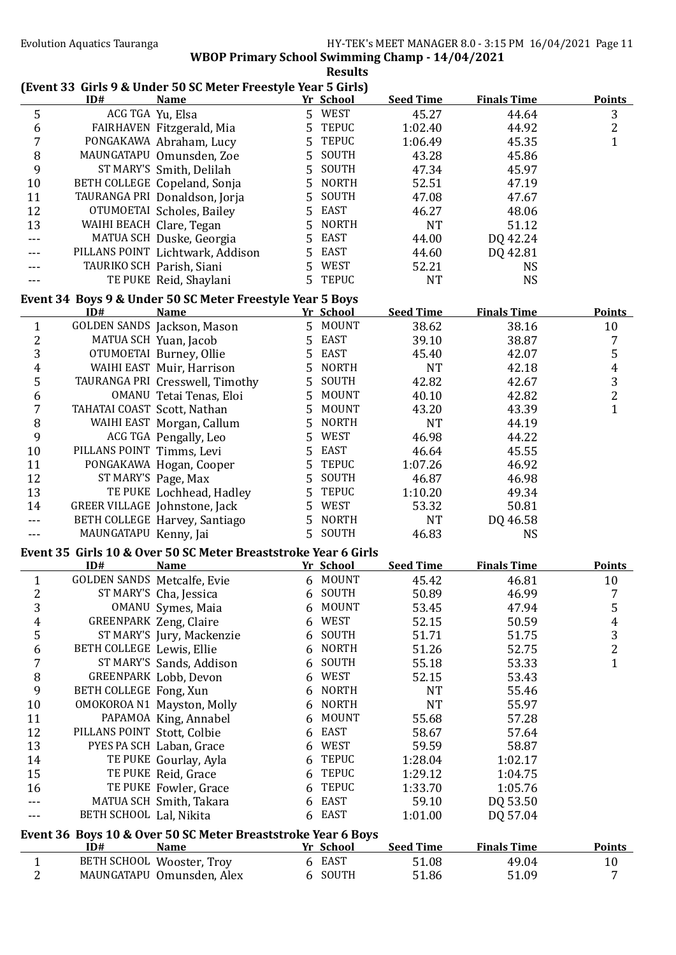|                         |                             |                                                                          |   | <b>Results</b>      |                  |                    |                |
|-------------------------|-----------------------------|--------------------------------------------------------------------------|---|---------------------|------------------|--------------------|----------------|
|                         |                             | (Event 33 Girls 9 & Under 50 SC Meter Freestyle Year 5 Girls)            |   |                     |                  |                    |                |
|                         | ID#                         | <b>Name</b>                                                              |   | Yr School<br>5 WEST | <b>Seed Time</b> | <b>Finals Time</b> | <b>Points</b>  |
| 5                       | ACG TGA Yu, Elsa            | FAIRHAVEN Fitzgerald, Mia                                                | 5 | <b>TEPUC</b>        | 45.27<br>1:02.40 | 44.64<br>44.92     | 3<br>2         |
| 6<br>$\overline{7}$     |                             | PONGAKAWA Abraham, Lucy                                                  | 5 | <b>TEPUC</b>        | 1:06.49          | 45.35              | $\mathbf{1}$   |
| 8                       |                             | MAUNGATAPU Omunsden, Zoe                                                 | 5 | SOUTH               | 43.28            | 45.86              |                |
| 9                       |                             | ST MARY'S Smith, Delilah                                                 | 5 | SOUTH               | 47.34            | 45.97              |                |
| 10                      |                             | BETH COLLEGE Copeland, Sonja                                             | 5 | <b>NORTH</b>        | 52.51            | 47.19              |                |
| 11                      |                             | TAURANGA PRI Donaldson, Jorja                                            | 5 | SOUTH               | 47.08            | 47.67              |                |
| 12                      |                             | OTUMOETAI Scholes, Bailey                                                | 5 | <b>EAST</b>         | 46.27            | 48.06              |                |
| 13                      | WAIHI BEACH Clare, Tegan    |                                                                          | 5 | <b>NORTH</b>        | <b>NT</b>        | 51.12              |                |
|                         |                             | MATUA SCH Duske, Georgia                                                 | 5 | <b>EAST</b>         | 44.00            | DQ 42.24           |                |
| ---                     |                             |                                                                          | 5 | EAST                |                  |                    |                |
|                         |                             | PILLANS POINT Lichtwark, Addison                                         |   | WEST                | 44.60            | DQ 42.81           |                |
| ---                     |                             | TAURIKO SCH Parish, Siani                                                | 5 |                     | 52.21            | <b>NS</b>          |                |
|                         |                             | TE PUKE Reid, Shaylani                                                   |   | 5 TEPUC             | <b>NT</b>        | <b>NS</b>          |                |
|                         | ID#                         | Event 34 Boys 9 & Under 50 SC Meter Freestyle Year 5 Boys<br><b>Name</b> |   | Yr School           | <b>Seed Time</b> | <b>Finals Time</b> | <b>Points</b>  |
| $\mathbf{1}$            |                             | GOLDEN SANDS Jackson, Mason                                              |   | 5 MOUNT             | 38.62            | 38.16              | 10             |
| $\overline{\mathbf{c}}$ |                             | MATUA SCH Yuan, Jacob                                                    | 5 | EAST                | 39.10            | 38.87              | 7              |
| 3                       |                             | OTUMOETAI Burney, Ollie                                                  | 5 | EAST                | 45.40            | 42.07              | 5              |
| 4                       |                             | WAIHI EAST Muir, Harrison                                                | 5 | <b>NORTH</b>        | <b>NT</b>        | 42.18              | $\overline{4}$ |
| 5                       |                             | TAURANGA PRI Cresswell, Timothy                                          | 5 | SOUTH               | 42.82            | 42.67              | 3              |
| $\boldsymbol{6}$        |                             | OMANU Tetai Tenas, Eloi                                                  | 5 | MOUNT               | 40.10            | 42.82              | $\overline{c}$ |
| $\overline{7}$          | TAHATAI COAST Scott, Nathan |                                                                          | 5 | <b>MOUNT</b>        | 43.20            | 43.39              | $\mathbf{1}$   |
|                         |                             |                                                                          |   | <b>NORTH</b>        |                  |                    |                |
| 8                       |                             | WAIHI EAST Morgan, Callum                                                | 5 |                     | <b>NT</b>        | 44.19              |                |
| 9                       |                             | ACG TGA Pengally, Leo                                                    | 5 | <b>WEST</b>         | 46.98            | 44.22              |                |
| 10                      | PILLANS POINT Timms, Levi   |                                                                          | 5 | EAST                | 46.64            | 45.55              |                |
| 11                      |                             | PONGAKAWA Hogan, Cooper                                                  | 5 | <b>TEPUC</b>        | 1:07.26          | 46.92              |                |
| 12                      |                             | ST MARY'S Page, Max                                                      | 5 | SOUTH               | 46.87            | 46.98              |                |
| 13                      |                             | TE PUKE Lochhead, Hadley                                                 | 5 | <b>TEPUC</b>        | 1:10.20          | 49.34              |                |
| 14                      |                             | GREER VILLAGE Johnstone, Jack                                            | 5 | <b>WEST</b>         | 53.32            | 50.81              |                |
| $---$                   |                             | BETH COLLEGE Harvey, Santiago                                            | 5 | <b>NORTH</b>        | <b>NT</b>        | DQ 46.58           |                |
|                         | MAUNGATAPU Kenny, Jai       |                                                                          |   | 5 SOUTH             | 46.83            | <b>NS</b>          |                |
|                         | ID#                         | Event 35 Girls 10 & Over 50 SC Meter Breaststroke Year 6 Girls           |   |                     |                  | <b>Finals Time</b> |                |
|                         |                             | <b>Name</b>                                                              |   | Yr School<br>MOUNT  | <b>Seed Time</b> |                    | <b>Points</b>  |
| $\mathbf{1}$            | GOLDEN SANDS Metcalfe, Evie |                                                                          | 6 | SOUTH               | 45.42            | 46.81              | 10             |
| $\overline{\mathbf{c}}$ |                             | ST MARY'S Cha, Jessica                                                   | 6 |                     | 50.89            | 46.99              | 7              |
| 3                       |                             | OMANU Symes, Maia                                                        | 6 | <b>MOUNT</b>        | 53.45            | 47.94              | 5              |
| $\pmb{4}$               |                             | <b>GREENPARK Zeng, Claire</b>                                            | 6 | <b>WEST</b>         | 52.15            | 50.59              | $\overline{4}$ |
| 5                       |                             | ST MARY'S Jury, Mackenzie                                                | 6 | SOUTH               | 51.71            | 51.75              | 3              |
| 6                       | BETH COLLEGE Lewis, Ellie   |                                                                          | 6 | <b>NORTH</b>        | 51.26            | 52.75              | $\overline{c}$ |
| $\overline{7}$          |                             | ST MARY'S Sands, Addison                                                 | 6 | SOUTH               | 55.18            | 53.33              | $\mathbf{1}$   |
| $\, 8$                  |                             | GREENPARK Lobb, Devon                                                    | 6 | WEST                | 52.15            | 53.43              |                |
| 9                       | BETH COLLEGE Fong, Xun      |                                                                          | 6 | <b>NORTH</b>        | <b>NT</b>        | 55.46              |                |
| 10                      |                             | OMOKOROA N1 Mayston, Molly                                               | 6 | <b>NORTH</b>        | <b>NT</b>        | 55.97              |                |
| 11                      |                             | PAPAMOA King, Annabel                                                    | 6 | <b>MOUNT</b>        | 55.68            | 57.28              |                |
| 12                      | PILLANS POINT Stott, Colbie |                                                                          | 6 | <b>EAST</b>         | 58.67            | 57.64              |                |
| 13                      |                             | PYES PA SCH Laban, Grace                                                 | 6 | WEST                | 59.59            | 58.87              |                |
| 14                      |                             | TE PUKE Gourlay, Ayla                                                    | 6 | <b>TEPUC</b>        | 1:28.04          | 1:02.17            |                |
| 15                      |                             | TE PUKE Reid, Grace                                                      | 6 | <b>TEPUC</b>        | 1:29.12          | 1:04.75            |                |
| 16                      |                             | TE PUKE Fowler, Grace                                                    | 6 | <b>TEPUC</b>        | 1:33.70          | 1:05.76            |                |
| ---                     |                             | MATUA SCH Smith, Takara                                                  | 6 | EAST                | 59.10            | DQ 53.50           |                |
| ---                     | BETH SCHOOL Lal, Nikita     |                                                                          |   | 6 EAST              | 1:01.00          | DQ 57.04           |                |
|                         |                             | Event 36 Boys 10 & Over 50 SC Meter Breaststroke Year 6 Boys             |   |                     |                  |                    |                |
|                         | ID#                         | <b>Name</b>                                                              |   | Yr School           | <b>Seed Time</b> | <b>Finals Time</b> | <b>Points</b>  |
| $\mathbf{1}$            |                             | BETH SCHOOL Wooster, Troy                                                |   | 6 EAST              | 51.08            | 49.04              | 10             |
| $\overline{2}$          |                             | MAUNGATAPU Omunsden, Alex                                                |   | 6 SOUTH             | 51.86            | 51.09              | 7              |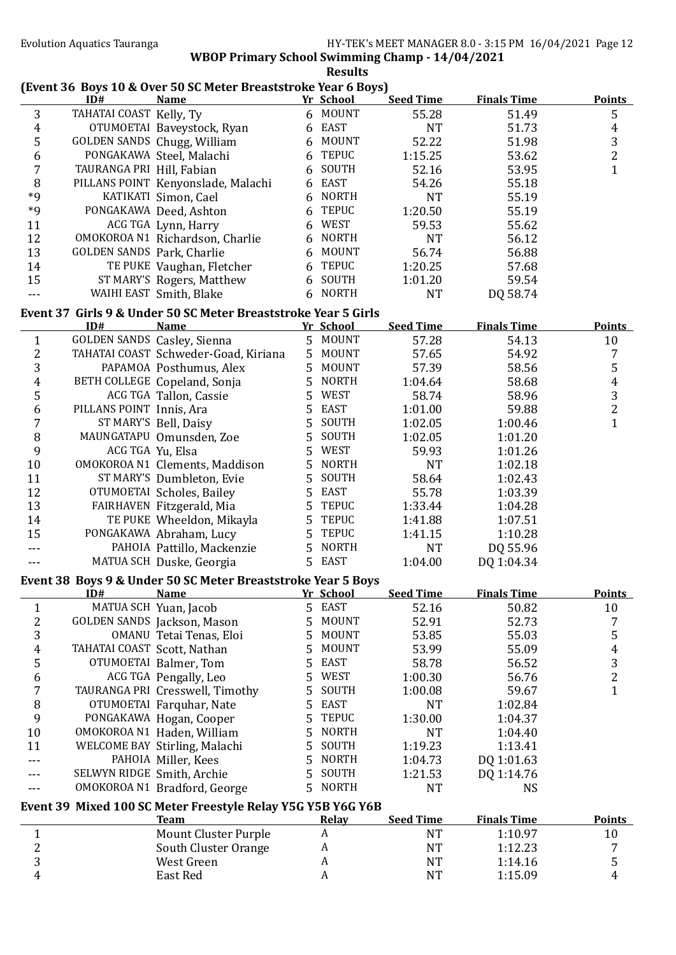|                         |                             | (Event 36 Boys 10 & Over 50 SC Meter Breaststroke Year 6 Boys)                |   |                  |                  |                    |                                            |
|-------------------------|-----------------------------|-------------------------------------------------------------------------------|---|------------------|------------------|--------------------|--------------------------------------------|
|                         | ID#                         | <b>Name</b>                                                                   |   | Yr School        | <b>Seed Time</b> | <b>Finals Time</b> | <b>Points</b>                              |
| 3                       | TAHATAI COAST Kelly, Ty     |                                                                               |   | 6 MOUNT          | 55.28            | 51.49              | 5                                          |
| $\overline{4}$          |                             | OTUMOETAI Baveystock, Ryan                                                    |   | 6 EAST           | <b>NT</b>        | 51.73              | $\overline{4}$                             |
| $\mathsf S$             |                             | GOLDEN SANDS Chugg, William                                                   |   | 6 MOUNT          | 52.22            | 51.98              | $\sqrt{3}$                                 |
| $\boldsymbol{6}$        |                             | PONGAKAWA Steel, Malachi                                                      |   | 6 TEPUC          | 1:15.25          | 53.62              | $\overline{2}$                             |
| $\overline{7}$          | TAURANGA PRI Hill, Fabian   |                                                                               |   | 6 SOUTH          | 52.16            | 53.95              | $\overline{1}$                             |
| 8                       |                             | PILLANS POINT Kenyonslade, Malachi                                            |   | 6 EAST           | 54.26            | 55.18              |                                            |
| $*9$                    |                             | KATIKATI Simon, Cael                                                          |   | 6 NORTH          | <b>NT</b>        | 55.19              |                                            |
| $*9$                    |                             | PONGAKAWA Deed, Ashton                                                        | 6 | <b>TEPUC</b>     | 1:20.50          | 55.19              |                                            |
| 11                      |                             | ACG TGA Lynn, Harry                                                           |   | 6 WEST           | 59.53            | 55.62              |                                            |
| 12                      |                             | OMOKOROA N1 Richardson, Charlie                                               |   | 6 NORTH          | <b>NT</b>        | 56.12              |                                            |
| 13                      | GOLDEN SANDS Park, Charlie  |                                                                               |   | 6 MOUNT          | 56.74            | 56.88              |                                            |
| 14                      |                             | TE PUKE Vaughan, Fletcher                                                     |   | 6 TEPUC          | 1:20.25          | 57.68              |                                            |
| 15                      |                             | ST MARY'S Rogers, Matthew                                                     |   | 6 SOUTH          | 1:01.20          | 59.54              |                                            |
| $\overline{a}$          |                             | WAIHI EAST Smith, Blake                                                       |   | 6 NORTH          | <b>NT</b>        | DQ 58.74           |                                            |
|                         |                             |                                                                               |   |                  |                  |                    |                                            |
|                         | ID#                         | Event 37 Girls 9 & Under 50 SC Meter Breaststroke Year 5 Girls<br><u>Name</u> |   | Yr School        | <b>Seed Time</b> | <b>Finals Time</b> | <b>Points</b>                              |
| $\mathbf{1}$            |                             | GOLDEN SANDS Casley, Sienna                                                   |   | 5 MOUNT          | 57.28            | 54.13              | 10                                         |
| $\sqrt{2}$              |                             | TAHATAI COAST Schweder-Goad, Kiriana                                          | 5 | <b>MOUNT</b>     | 57.65            | 54.92              | 7                                          |
| 3                       |                             | PAPAMOA Posthumus, Alex                                                       | 5 | MOUNT            | 57.39            | 58.56              | 5                                          |
| $\boldsymbol{4}$        |                             | BETH COLLEGE Copeland, Sonja                                                  | 5 | NORTH            | 1:04.64          | 58.68              | $\overline{4}$                             |
| $\mathsf S$             |                             | ACG TGA Tallon, Cassie                                                        | 5 | WEST             |                  | 58.96              |                                            |
|                         | PILLANS POINT Innis, Ara    |                                                                               |   | <b>EAST</b>      | 58.74            |                    | $\frac{3}{2}$                              |
| $\boldsymbol{6}$        |                             |                                                                               | 5 |                  | 1:01.00          | 59.88              | $\mathbf{1}$                               |
| $\overline{7}$          |                             | ST MARY'S Bell, Daisy                                                         | 5 | SOUTH            | 1:02.05          | 1:00.46            |                                            |
| $\, 8$                  |                             | MAUNGATAPU Omunsden, Zoe                                                      | 5 | SOUTH            | 1:02.05          | 1:01.20            |                                            |
| 9                       |                             | ACG TGA Yu, Elsa                                                              | 5 | WEST             | 59.93            | 1:01.26            |                                            |
| 10                      |                             | OMOKOROA N1 Clements, Maddison                                                | 5 | <b>NORTH</b>     | <b>NT</b>        | 1:02.18            |                                            |
| 11                      |                             | ST MARY'S Dumbleton, Evie                                                     | 5 | SOUTH            | 58.64            | 1:02.43            |                                            |
| 12                      |                             | OTUMOETAI Scholes, Bailey                                                     | 5 | EAST             | 55.78            | 1:03.39            |                                            |
| 13                      |                             | FAIRHAVEN Fitzgerald, Mia                                                     | 5 | <b>TEPUC</b>     | 1:33.44          | 1:04.28            |                                            |
| 14                      |                             | TE PUKE Wheeldon, Mikayla                                                     | 5 | <b>TEPUC</b>     | 1:41.88          | 1:07.51            |                                            |
| 15                      |                             | PONGAKAWA Abraham, Lucy                                                       | 5 | <b>TEPUC</b>     | 1:41.15          | 1:10.28            |                                            |
| ---                     |                             | PAHOIA Pattillo, Mackenzie                                                    | 5 | <b>NORTH</b>     | <b>NT</b>        | DQ 55.96           |                                            |
| $---$                   |                             | MATUA SCH Duske, Georgia                                                      |   | 5 EAST           | 1:04.00          | DQ 1:04.34         |                                            |
|                         |                             | Event 38 Boys 9 & Under 50 SC Meter Breaststroke Year 5 Boys                  |   |                  |                  |                    |                                            |
|                         | ID#                         | <u>Name</u>                                                                   |   | <u>Yr School</u> | <b>Seed Time</b> | <b>Finals Time</b> | <b>Points</b>                              |
| $\mathbf{1}$            |                             | MATUA SCH Yuan, Jacob                                                         |   | 5 EAST           | 52.16            | 50.82              | 10                                         |
| $\overline{2}$          |                             | GOLDEN SANDS Jackson, Mason                                                   | 5 | <b>MOUNT</b>     | 52.91            | 52.73              | 7                                          |
| 3                       |                             | OMANU Tetai Tenas, Eloi                                                       | 5 | MOUNT            | 53.85            | 55.03              | 5                                          |
| 4                       | TAHATAI COAST Scott, Nathan |                                                                               | 5 | <b>MOUNT</b>     | 53.99            | 55.09              |                                            |
| 5                       |                             | OTUMOETAI Balmer, Tom                                                         | 5 | <b>EAST</b>      | 58.78            | 56.52              | $\begin{array}{c} 4 \\ 3 \\ 2 \end{array}$ |
| 6                       |                             | ACG TGA Pengally, Leo                                                         | 5 | <b>WEST</b>      | 1:00.30          | 56.76              |                                            |
| $\overline{7}$          |                             | TAURANGA PRI Cresswell, Timothy                                               | 5 | SOUTH            | 1:00.08          | 59.67              | $\mathbf{1}$                               |
| 8                       |                             | OTUMOETAI Farquhar, Nate                                                      | 5 | <b>EAST</b>      | <b>NT</b>        | 1:02.84            |                                            |
| 9                       |                             | PONGAKAWA Hogan, Cooper                                                       | 5 | <b>TEPUC</b>     | 1:30.00          | 1:04.37            |                                            |
| 10                      |                             | OMOKOROA N1 Haden, William                                                    | 5 | <b>NORTH</b>     | <b>NT</b>        | 1:04.40            |                                            |
| 11                      |                             | WELCOME BAY Stirling, Malachi                                                 | 5 | SOUTH            | 1:19.23          | 1:13.41            |                                            |
|                         |                             | PAHOIA Miller, Kees                                                           | 5 | <b>NORTH</b>     | 1:04.73          | DQ 1:01.63         |                                            |
|                         | SELWYN RIDGE Smith, Archie  |                                                                               | 5 | SOUTH            | 1:21.53          | DQ 1:14.76         |                                            |
|                         |                             | OMOKOROA N1 Bradford, George                                                  | 5 | <b>NORTH</b>     | <b>NT</b>        | <b>NS</b>          |                                            |
|                         |                             | Event 39 Mixed 100 SC Meter Freestyle Relay Y5G Y5B Y6G Y6B                   |   |                  |                  |                    |                                            |
|                         |                             | <u>Team</u>                                                                   |   | <b>Relay</b>     | <b>Seed Time</b> | <b>Finals Time</b> | <b>Points</b>                              |
| $\mathbf{1}$            |                             | <b>Mount Cluster Purple</b>                                                   |   | A                | <b>NT</b>        | 1:10.97            | 10                                         |
| $\overline{\mathbf{c}}$ |                             | South Cluster Orange                                                          |   | A                | <b>NT</b>        | 1:12.23            | 7                                          |
| 3                       |                             | West Green                                                                    |   | A                | <b>NT</b>        | 1:14.16            | 5                                          |
| 4                       |                             | East Red                                                                      |   | A                | <b>NT</b>        | 1:15.09            | 4                                          |
|                         |                             |                                                                               |   |                  |                  |                    |                                            |